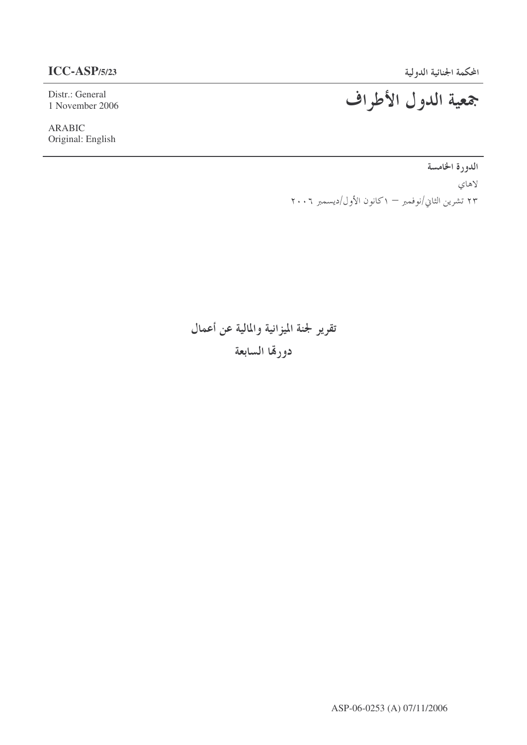Distr.: General 1 November 2006

ARABIC Original: English

# جمعية الدول الأطراف

الدورة الخامسة لاهاي ۲۳ تشرین الثاني/نوفمبر — ۱کانون الأول/دیسمبر ۲۰۰٦

تقرير لجنة الميزانية والمالية عن أعمال

دورقما السابعة

ASP-06-0253 (A) 07/11/2006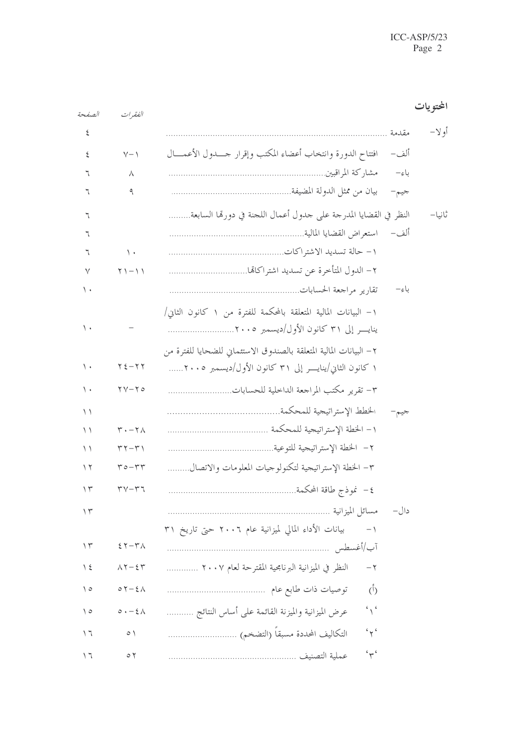| الصفحة         | الفقيرات                                              |                                                                     | المحتو يات |
|----------------|-------------------------------------------------------|---------------------------------------------------------------------|------------|
| ٤              |                                                       | مقدمة                                                               | أو لا–     |
| ٤              | $V - 1$                                               | افتتاح الدورة وانتخاب أعضاء المكتب وإقرار حسدول الأعمسال<br>ألف–    |            |
| ٦              | Λ                                                     | باءِ–                                                               |            |
| ٦              | ٩                                                     | جيم–                                                                |            |
| ٦              |                                                       | النظر في القضايا المدرجة على جدول أعمال اللجنة في دورهّا السابعة    | ثانيا–     |
| ٦              |                                                       | ألف–                                                                |            |
| ٦              | $\setminus$                                           |                                                                     |            |
| ٧              | $\gamma$ ) $-$ 1 1                                    |                                                                     |            |
| ۰ ۱            |                                                       | باءِ–                                                               |            |
|                |                                                       | ١– البيانات المالية المتعلقة بالمحكمة للفترة من ١ كانون الثاني/     |            |
| ۰ ۱            |                                                       |                                                                     |            |
|                |                                                       | ٢ – البيانات المالية المتعلقة بالصندوق الاستئماني للضحايا للفترة من |            |
| ۰ ۱            | $Y\xi-YY$                                             | ۱ كانون الثاني/ينايــــر إلى ۳۱ كانون الأول/ديسمبر ۲۰۰۵             |            |
| $\backslash$ . | $\gamma - \gamma$                                     |                                                                     |            |
| $\setminus$    |                                                       | جيم–                                                                |            |
| $\setminus$    | $\mathbf{r} \cdot - \mathbf{r} \wedge$                |                                                                     |            |
| $\setminus$    | $\mathbf{r}$ $\mathbf{r}$ - $\mathbf{r}$ $\mathbf{r}$ |                                                                     |            |
| ۲ ۱            | $r \circ -r r$                                        | ٣– الخطة الإستراتيجية لتكنولوجيات المعلومات والاتصال                |            |
| $\gamma$       | $\mathbf{r} \mathbf{v} - \mathbf{r} \mathbf{v}$       | ٤– نموذج طاقة المحكمة                                               |            |
| $\gamma$       |                                                       |                                                                     |            |
|                |                                                       | بيانات الأداء المالي لميزانية عام ٢٠٠٦ حتى تاريخ ٣١<br>$-1$         |            |
| $\gamma$       | $57 - 74$                                             |                                                                     |            |
| $\frac{1}{2}$  | $\Lambda \Upsilon - \xi \Upsilon$                     | النظر في الميزانية البرنامجية المقترحة لعام ٢٠٠٧<br>$-\tau$         |            |
| ه ۱            | $0 \, \zeta - \xi \wedge$                             | $\phi$                                                              |            |
| ه ۱            | $0.1 - 2.0$                                           | $\sim$<br>عرض الميزانية والميزنة القائمة على أساس النتائج           |            |
| ۲ ۱            | $\circ \wedge$                                        | 44.4                                                                |            |
| ۱٦             | $\circ$ $\check{v}$                                   | 44.6                                                                |            |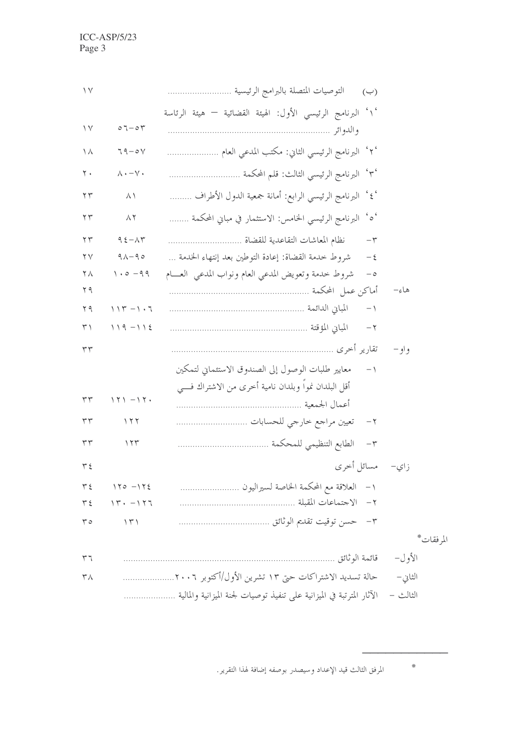| $\vee$                 |                                                          | التوصيات المتصلة بالبرامج الرئيسية ……………………<br>$(\hookrightarrow)$        |           |
|------------------------|----------------------------------------------------------|---------------------------------------------------------------------------|-----------|
|                        |                                                          | ' ١ ْ البرنامج الرئيسي الأول: الهيئة القضائية — هيئة الرئاسة              |           |
| $\vee$                 | $07 - 07$                                                |                                                                           |           |
| ۱۸                     | $79 - 04$                                                | ٬۲٬ البرنامج الرئيسي الثاني: مكتب المدعي العام                            |           |
| $\mathsf{r}$ .         | $\wedge \cdot - \vee \cdot$                              |                                                                           |           |
| $\Upsilon$             | $\wedge \wedge$                                          | '٤ <sup>٬</sup> البرنامج الرئيسي الرابع: أمانة جمعية الدول الأطراف        |           |
| $\Upsilon$             | $\wedge$ $\Upsilon$                                      | $\gamma$ $\sim$<br>البرنامج الرئيسي الخامس: الاستثمار في مباني المحكمة …… |           |
| $\Upsilon$             | $95 - \lambda 7$                                         | نظام المعاشات التقاعدية للقضاة<br>$-\tau$                                 |           |
| $\mathsf{Y}\mathsf{V}$ | $9\lambda - 90$                                          | شروط خدمة القضاة: إعادة التوطين بعد إنتهاء الخدمة<br>$-\xi$               |           |
| $\mathbf{Y} \wedge$    | $1.0 - 99$                                               | شروط حدمة وتعويض المدعى العام ونواب المدعى العسام<br>$-\circ$             |           |
| ۲۹                     |                                                          |                                                                           | هاءِ–     |
| 79                     | $\setminus \setminus \Upsilon - \setminus \cdot \top$    | $-1$                                                                      |           |
| $\uparrow\uparrow$     | $119 - 112$                                              | $ \uparrow$                                                               |           |
| ٣٣                     |                                                          |                                                                           | و او —    |
|                        |                                                          | معايير طلبات الوصول إلى الصندوق الاستئماني لتمكين<br>$-1$                 |           |
|                        |                                                          | أقل البلدان نمواً وبلدان نامية أخرى من الاشتراك فــــى                    |           |
| ٣٣                     | $171 - 17.$                                              |                                                                           |           |
| ٣٣                     | $\setminus \tau \tau$                                    |                                                                           |           |
| $\tau\tau$             | 155                                                      |                                                                           |           |
| $Y \xi$                |                                                          | زاي– مسائل أخرى                                                           |           |
| $\tau$ {               | $170 - 172$                                              | ١- العلاقة مع المحكمة الخاصة لسيراليون                                    |           |
| $\tau$ {               | $\setminus \Upsilon \cdot - \setminus \Upsilon \Upsilon$ |                                                                           |           |
| $r \circ$              | $\langle \uparrow \uparrow \rangle$                      |                                                                           |           |
|                        |                                                          |                                                                           | المرفقات* |
| $\tau$                 |                                                          | الأول– قائمة الوثائق ِ                                                    |           |
| $\mathsf{r}_\Lambda$   |                                                          | حالة تسديد الاشتراكات حتى ١٣ تشرين الأول/أكتوبر ٢٠٠٦                      | الثاني –  |
|                        |                                                          | الآثار المترتبة في الميزانية على تنفيذ توصيات لجنة الميزانية والمالية     | الثالث –  |

المرفق الثالث قيد الإعداد وسيصدر بوصفه إضافة لهذا التقرير.

 $\ast$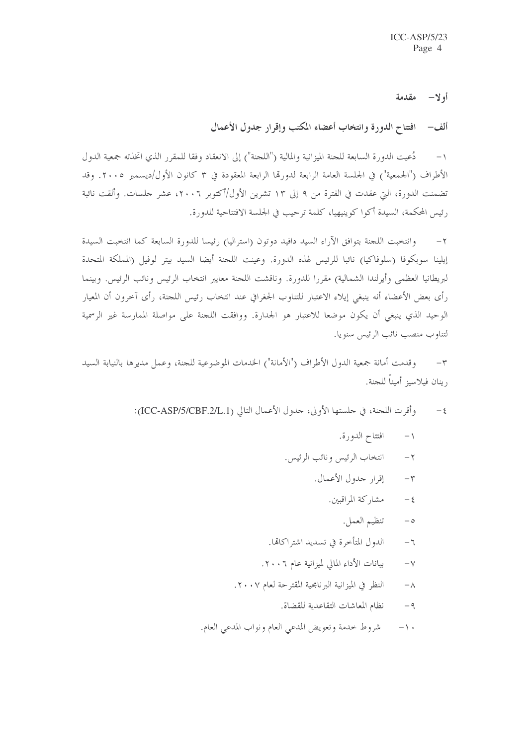أولا— مقدمة

ألف – افتتاح الدورة وانتخاب أعضاء المكتب وإقرار جدول الأعمال

دُعيت الدورة السابعة للجنة الميزانية والمالية ("اللجنة") إلى الانعقاد وفقا للمقرر الذي اتخذته جمعية الدول  $-1$ الأطراف ("الجمعية") في الجلسة العامة الرابعة لدورتما الرابعة المعقودة في ٣ كانون الأول/ديسمبر ٢٠٠٥. وقد تضمنت الدورة، التي عقدت في الفترة من ٩ إلى ١٣ تشرين الأول/أكتوبر ٢٠٠٦، عشر حلسات. وألقت نائبة رئيس المحكمة، السيدة أكوا كوينيهيا، كلمة ترحيب في الجلسة الافتتاحية للدورة.

وانتخبت اللجنة بتوافق الآراء السيد دافيد دوتون (استراليا) رئيسا للدورة السابعة كما انتخبت السيدة  $-\tau$ إيلينا سوبكوفا (سلوفاكيا) نائبا للرئيس لهذه الدورة. وعينت اللجنة أيضا السيد بيتر لوفيل (المملكة المتحدة لبريطانيا العظمى وأيرلندا الشمالية) مقررا للدورة. وناقشت اللجنة معايير انتخاب الرئيس ونائب الرئيس. وبينما رأى بعض الأعضاء أنه ينبغي إيلاء الاعتبار للتناوب الجغرافي عند انتخاب رئيس اللحنة، رأى آخرون أن المعيار الوحيد الذي ينبغي أن يكون موضعا للاعتبار هو الجدارة. ووافقت اللجنة على مواصلة الممارسة غير الرسمية لتناوب منصب نائب الرئيس سنويا.

وقدمت أمانة جمعية الدول الأطراف ("الأمانة") الخدمات الموضوعية للجنة، وعمل مديرها بالنيابة السيد  $-\tau$ , ينان فيلاسيز أميناً للجنة.

- وأقرت اللجنة، في حلستها الأولى، حدول الأعمال التالي (ICC-ASP/5/CBF.2/L.1):  $-\xi$ 
	- $-1$ افتتاح الدورة.
	- انتخاب الرئيس ونائب الرئيس.  $-\tau$ 
		- إقرار جدول الأعمال.  $-\tau$ 
			- مشا, كة المراقبين.  $-\xi$ 
				- تنظيم العمل.  $-\circ$
	- الدول المتأخرة في تسديد اشتراكاتها.  $-\tau$
	- بيانات الأداء المالي لميزانية عام ٢٠٠٦.  $-\vee$
	- النظر في الميزانية البرنامجية المقترحة لعام ٢٠٠٧.  $-\lambda$ 
		- نظام المعاشات التقاعدية للقضاة.  $-9$
	- شروط حدمة وتعويض المدعى العام ونواب المدعى العام.  $-1.$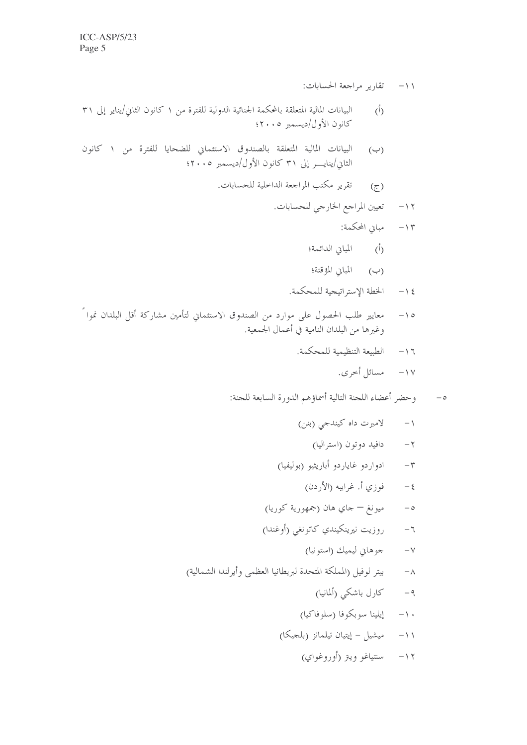- ١١- تقارير مراجعة الحسابات:
- البيانات المالية المتعلقة بالمحكمة الجنائية الدولية للفترة من ١ كانون الثاني/يناير إلى ٣١  $(\mathfrak{h})$ كانون الأول/ديسمبر ٢٠٠٥؛
- البيانات المالية المتعلقة بالصندوق الاستئماني للضحايا للفترة من ١ كانون  $(\hookrightarrow)$ الثاني/ينايسر إلى ٣١ كانون الأول/ديسمبر ٢٠٠٥؛
	- تقرير مكتب المراجعة الداخلية للحسابات.  $\circled{z}$

- ۱۳– مبایی المحکمة:
- (أ) المباني الدائمة؛
- (ب) المباني المؤقتة؛
- الخطة الإستراتيجية للمحكمة.  $-15$
- معايير طلب الحصول على موارد من الصندوق الاستئماني لتأمين مشاركة أقل البلدان نموا ً  $-10$ وغيرها من البلدان النامية في أعمال الجمعية.
	- الطبيعة التنظيمية للمحكمة.  $-17$ 
		- ١٧ مسائل أخرى.
	- وحضر أعضاء اللجنة التالية أسماؤهم الدورة السابعة للجنة:  $-\circ$ 
		- لامبرت داه كيندجي (بنن)  $-1$ 
			- دافيد دوتون (استراليا)  $-7$
		- ادواردو غاياردو أباريثيو (بوليفيا)  $-\tau$ 
			- فوزي أ. غرايبه (الأردن)  $-\xi$
		- ميونغ جاي هان (جمهورية كوريا)  $-\circ$
		- روزيت نيرينكيندي كاتونغي (أوغندا)  $-7$ 
			- جوهايي ليميك (استونيا)  $-\gamma$
	- بيتر لوفيل (المملكة المتحدة لبريطانيا العظمى وأيرلندا الشمالية)  $-\lambda$ 
		- كارل باشكي (ألمانيا)  $-9$
		- إيلينا سوبكوفا (سلوفاكيا)  $- \wedge$
		- ميشيل إيتيان تيلمانز (بلجيكا)  $-11$ 
			- سنتياغو ويبز (أوروغواي)  $-11$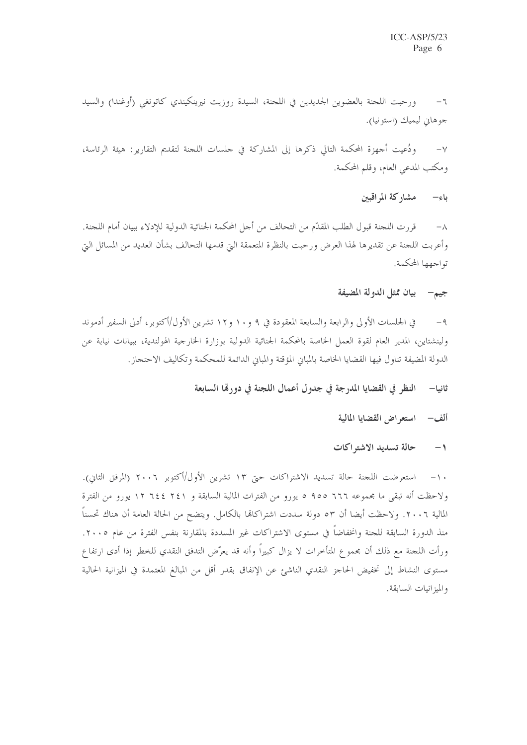ورحبت اللجنة بالعضوين الجديدين في اللجنة، السيدة روزيت نيرينكيندي كاتونغي (أوغندا) والسيد  $-7$ جوهاني ليميك (استونيا).

ودُعيت أجهزة المحكمة التالي ذكرها إلى المشاركة في جلسات اللجنة لتقديم التقارير : هيئة الرئاسة،  $-\vee$ ومكتب المدعى العام، وقلم المحكمة.

باء<sup>ِ</sup>— مشاركة المراقبين

قررت اللحنة قبول الطلب المقدَّم من التحالف من أحل المحكمة الجنائية الدولية للإدلاء ببيان أمام اللحنة.  $-\wedge$ وأعربت اللجنة عن تقديرها لهذا العرض ورحبت بالنظرة المتعمقة التي قدمها التحالف بشأن العديد من المسائل التي تواجهها المحكمة.

## جيم— بيان ممثل الدولة المضيفة

في الجلسات الأولى والرابعة والسابعة المعقودة في ٩ و١٠ و١٢ تشرين الأول/أكتوبر، أدلى السفير أدموند  $-9$ ولينشتاين، المدير العام لقوة العمل الخاصة بالمحكمة الجنائية الدولية بوزارة الخارجية الهولندية، ببيانات نيابة عن الدولة المضيفة تناول فيها القضايا الخاصة بالمباني المؤقتة والمباني الدائمة للمحكمة وتكاليف الاحتجاز .

> النظر في القضايا المدرجة في جدول أعمال اللجنة في دورهّا السابعة ثانيا—

### ألف – استعراض القضايا المالية

#### حالة تسديد الاشتراكات  $-1$

١٠– استعرضت اللجنة حالة تسديد الاشتراكات حتى ١٣ تشرين الأول/أكتوبر ٢٠٠٦ (المرفق الثاني). ولاحظت أنه تبقى ما مجموعه ٦٦٦ ه٩٥ ٥ يورو من الفترات المالية السابقة و ٢٤١ ٢٤٤ لورو من الفترة المالية ٢٠٠٦. ولاحظت أيضا أن ٥٣ دولة سددت اشتراكاتما بالكامل. ويتضح من الحالة العامة أن هناك تحسناً منذ الدورة السابقة للجنة وانخفاضاً في مستوى الاشتراكات غير المسددة بالمقارنة بنفس الفترة من عام ٢٠٠٥. ورأت اللجنة مع ذلك أن مجموع المتأخرات لا يزال كبيراً وأنه قد يعرِّض التدفق النقدي للخطر إذا أدى ارتفاع مستوى النشاط إلى تخفيض الحاجز النقدي الناشئ عن الإنفاق بقدر أقل من المبالغ المعتمدة في الميزانية الحالية والميزانيات السابقة.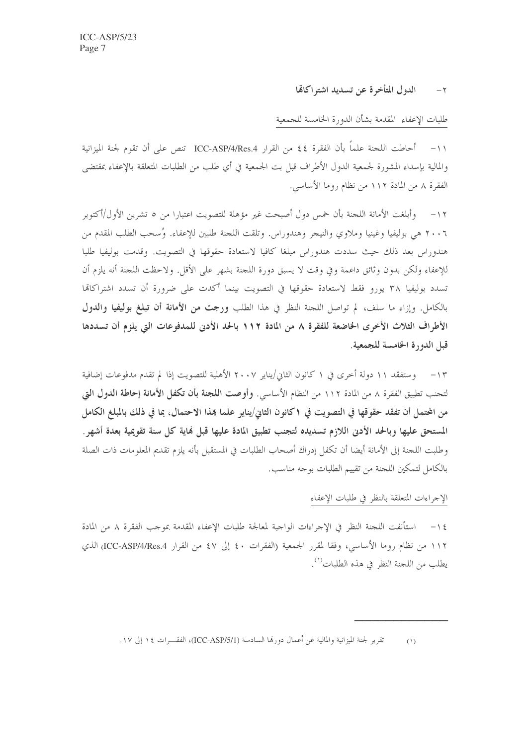### الدول المتأخرة عن تسديد اشتراكائما  $-\tau$

طلبات الإعفاء المقدمة بشأن الدورة الخامسة للجمعية

١١- أحاطت اللجنة علماً بأن الفقرة ٤٤ من القرار ICC-ASP/4/Res.4 تنص على أن تقوم لجنة الميزانية والمالية بإسداء المشورة لجمعية الدول الأطراف قبل بت الجمعية في أي طلب من الطلبات المتعلقة بالإعفاء بمقتضى الفقرة ٨ من المادة ١١٢ من نظام روما الأساسي.

١٢– وأبلغت الأمانة اللجنة بأن خمس دول أصبحت غير مؤهلة للتصويت اعتبارا من ٥ تشرين الأول/أكتوبر ٢٠٠٦ هي بوليفيا وغينيا وملاوي والنيجر وهندوراس. وتلقت اللجنة طلبين للإعفاء. وُسحب الطلب المقدم من هندوراس بعد ذلك حيث سددت هندوراس مبلغا كافيا لاستعادة حقوقها في التصويت. وقدمت بوليفيا طلبا للإعفاء ولكن بدون وثائق داعمة وفي وقت لا يسبق دورة اللجنة بشهر على الأقل. ولاحظت اللجنة أنه يلزم أن تسدد بوليفيا ٣٨ يورو فقط لاستعادة حقوقها في التصويت بينما أكدت على ضرورة أن تسدد اشتراكاتما بالكامل. وإزاء ما سلف، لم تواصل اللجنة النظر في هذا الطلب ورجت من الأمانة أن تبلغ بوليفيا والدول الأطراف الثلاث الأخرى الخاضعة للفقرة ٨ من المادة ١١٢ بالحد الأدبي للمدفوعات التي يلزم أن تسددها قبل الدورة الخامسة للجمعية.

١٣ – وستفقد ١١ دولة أحرى في ١ كانون الثاني/يناير ٢٠٠٧ الأهلية للتصويت إذا لم تقدم مدفوعات إضافية لتجنب تطبيق الفقرة ٨ من المادة ١١٢ من النظام الأساسي. وأوصت ا**للجنة بأن تكفل الأمانة إحاطة الدول التي** من المحتمل أن تفقد حقوقها في التصويت في ١كانون الثاني/يناير علما بمذا الاحتمال، بما في ذلك بالمبلغ الكامل المستحق عليها وبالحد الأدبي اللازم تسديده لتجنب تطبيق المادة عليها قبل فماية كل سنة تقويمية بعدة أشهر . وطلبت اللجنة إلى الأمانة أيضا أن تكفل إدراك أصحاب الطلبات في المستقبل بأنه يلزم تقديم المعلومات ذات الصلة بالكامل لتمكين اللجنة من تقييم الطلبات بوجه مناسب.

### الإحراءات المتعلقة بالنظر في طلبات الإعفاء

١٤− استأنفت اللجنة النظر في الإجراءات الواجبة لمعالجة طلبات الإعفاء المقدمة بموجب الفقرة ٨ من المادة ١١٢ من نظام روما الأساسي، وفقا لمقرر الجمعية (الفقرات ٤٠ إلى ٤٧ من القرار ICC-ASP/4/Res.4) الذي يطلب من اللجنة النظر في هذه الطلبات<sup>(\)</sup>.

> تقرير لجنة الميزانية والمالية عن أعمال دورتما السادسة (ICC-ASP/5/1)، الفقــرات ١٤ إلى ١٧.  $(1)$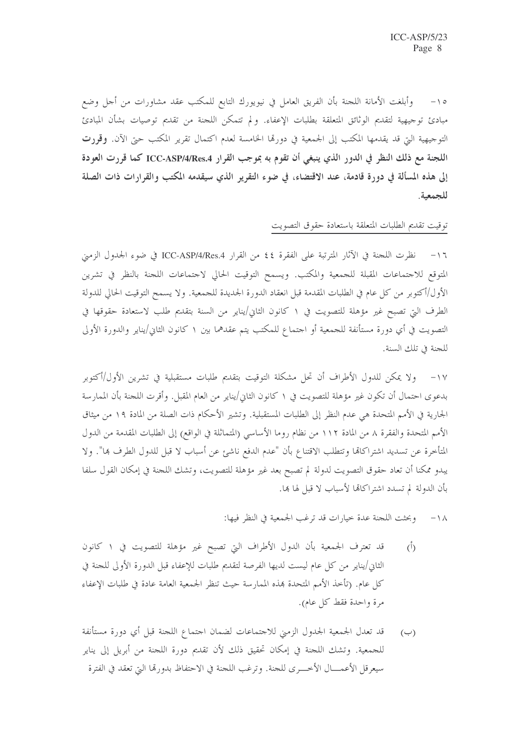١٥- وأبلغت الأمانة اللجنة بأن الفريق العامل في نيويورك التابع للمكتب عقد مشاورات من أجل وضع مبادئ توجيهية لتقديم الوثائق المتعلقة بطلبات الإعفاء. ولم تتمكن اللجنة من تقديم توصيات بشأن المبادئ التوجيهية التي قد يقدمها المكتب إلى الجمعية في دورها الخامسة لعدم اكتمال تقرير المكتب حتى الآن. **وقررت** اللجنة مع ذلك النظر في الدور الذي ينبغي أن تقوم به بموجب القرار ICC-ASP/4/Res.4 كما قررت العودة إلى هذه المسألة في دورة قادمة، عند الاقتضاء، في ضوء التقرير الذي سيقدمه المكتب والقرارات ذات الصلة للجمعية.

## توقيت تقديم الطلبات المتعلقة باستعادة حقوق التصويت

١٦- نظرت اللحنة في الآثار المترتبة على الفقرة ٤٤ من القرار ICC-ASP/4/Res.4 في ضوء الجدول الزمني المتوقع للاجتماعات المقبلة للجمعية والمكتب. ويسمح التوقيت الحالي لاجتماعات اللجنة بالنظر في تشرين الأول/أكتوبر من كل عام في الطلبات المقدمة قبل انعقاد الدورة الجديدة للجمعية. ولا يسمح التوقيت الحالي للدولة الطرف التي تصبح غير مؤهلة للتصويت في ١ كانون الثاني/يناير من السنة بتقديم طلب لاستعادة حقوقها في التصويت في أي دورة مستأنفة للجمعية أو احتماع للمكتب يتم عقدهما بين ١ كانون الثاني/يناير والدورة الأولى للجنة في تلك السنة.

١٧– ولا يمكن للدول الأطراف أن تحل مشكلة التوقيت بتقديم طلبات مستقبلية في تشرين الأول/أكتوبر بدعوى احتمال أن تكون غير مؤهلة للتصويت في ١ كانون الثاني/يناير من العام المقبل. وأقرت اللجنة بأن الممارسة الجارية في الأمم المتحدة هي عدم النظر إلى الطلبات المستقبلية. وتشير الأحكام ذات الصلة من المادة ١٩ من ميثاق الأمم المتحدة والفقرة ٨ من المادة ١١٢ من نظام روما الأساسي (المتماثلة في الواقع) إلى الطلبات المقدمة من الدول المتأخرة عن تسديد اشتراكالها وتتطلب الاقتناع بأن "عدم الدفع ناشئ عن أسباب لا قبل للدول الطرف ها". ولا يبدو ممكنا أن تعاد حقوق التصويت لدولة لم تصبح بعد غير مؤهلة للتصويت، وتشك اللحنة في إمكان القول سلفا بأن الدولة لم تسدد اشتراكاتها لأسباب لا قبل لها ها.

١٨- وبحثت اللجنة عدة حيارات قد ترغب الجمعية في النظر فيها:

- قد تعترف الجمعية بأن الدول الأطراف التي تصبح غير مؤهلة للتصويت في ١ كانون  $(\mathring{I})$ الثاني/يناير من كل عام ليست لديها الفرصة لتقديم طلبات للإعفاء قبل الدورة الأولى للجنة في كلِّ عام. (تأخذ الأمم المتحدة بمذه الممارسة حيث تنظر الجمعية العامة عادة في طلبات الإعفاء مرة واحدة فقط كل عام).
- قد تعدل الجمعية الجدول الزمني للاجتماعات لضمان احتماع اللحنة قبل أي دورة مستأنفة  $(\hookrightarrow)$ للجمعية. وتشك اللجنة في إمكان تحقيق ذلك لأن تقديم دورة اللجنة من أبريل إلى يناير سيعرقل الأعمــــال الأخــــري للجنة. وترغب اللجنة في الاحتفاظ بدورها التي تعقد في الفترة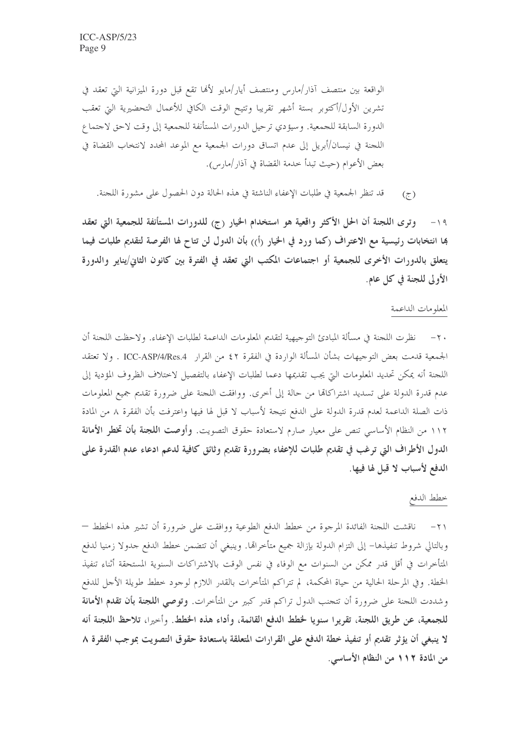الواقعة بين منتصف آذار/مارس ومنتصف أيار/مايو لألها تقع قبل دورة الميزانية التي تعقد في تشرين الأول/أكتوبر بستة أشهر تقريبا وتتيح الوقت الكافي للأعمال التحضيرية التي تعقب الدورة السابقة للجمعية. وسيؤدي ترحيل الدورات المستأنفة للجمعية إلى وقت لاحق لاحتماع اللحنة في نيسان/أبريل إلى عدم اتساق دورات الجمعية مع الموعد المحدد لانتخاب القضاة في بعض الأعوام (حيث تبدأ خدمة القضاة في آذار/مارس).

قد تنظر الجمعية في طلبات الإعفاء الناشئة في هذه الحالة دون الحصول على مشورة اللجنة.  $(\zeta)$ 

١٩- وترى اللجنة أن الحل الأكثر واقعية هو استخدام الخيار (ج) للدورات المستأنفة للجمعية التي تعقد ها انتخابات رئيسية مع الاعتراف (كما ورد في الخيار (أ)) بأن الدول لن تتاح لها الفرصة لتقديم طلبات فيما يتعلق بالدورات الأخرى للجمعية أو اجتماعات المكتب التي تعقد في الفترة بين كانون الثاني/يناير والدورة الأولى للجنة في كل عام.

### المعلومات الداعمة

٢٠ – نظرت اللجنة في مسألة المبادئ التوجيهية لتقديم المعلومات الداعمة لطلبات الإعفاء. ولاحظت اللجنة أن الجمعية قدمت بعض التوجيهات بشأن المسألة الواردة في الفقرة ٤٢ من القرار ICC-ASP/4/Res.4 . ولا تعتقد اللجنة أنه يمكن تحديد المعلومات التي يجب تقديمها دعما لطلبات الإعفاء بالتفصيل لاختلاف الظروف المؤدية إلى عدم قدرة الدولة على تسديد اشتراكالها من حالة إلى أخرى. ووافقت اللجنة على ضرورة تقديم جميع المعلومات ذات الصلة الداعمة لعدم قدرة الدولة على الدفع نتيجة لأسباب لا قبل لها فيها واعترفت بأن الفقرة ٨ من المادة ١١٢ من النظام الأساسي تنص على معيار صارم لاستعادة حقوق التصويت. وأوصت ا**للجنة بأن تخطر الأمانة** الدول الأطراف التي ترغب في تقديم طلبات للإعفاء بضرورة تقديم وثائق كافية لدعم ادعاء عدم القدرة على الدفع لأسباب لا قبل لها فيها.

خطط الدفع

٢١– ناقشت اللجنة الفائدة المرجوة من خطط الدفع الطوعية ووافقت على ضرورة أن تشير هذه الخطط — وبالتالي شروط تنفيذها– إلى التزام الدولة بإزالة جميع متأخراتما. وينبغي أن تتضمن خطط الدفع جدولا زمنيا لدفع المتأخرات في أقل قدر ممكن من السنوات مع الوفاء في نفس الوقت بالاشتراكات السنوية المستحقة أثناء تنفيذ الخطة. وفي المرحلة الحالية من حياة المحكمة، لم تتراكم المتأخرات بالقدر اللازم لوجود خطط طويلة الأجل للدفع وشددت اللحنة على ضرورة أن تتحنب الدول تراكم قدر كبير من المتأخرات. **وتوصي اللجنة بأن تقدم الأمانة** للجمعية، عن طريق اللجنة، تقريرا سنويا لخطط الدفع القائمة، وأداء هذه الخطط. وأحيرا، تلاحظ اللجنة أنه لا ينبغي أن يؤثر تقديم أو تنفيذ خطة الدفع على القرارات المتعلقة باستعادة حقوق التصويت بموجب الفقرة ٨ من المادة ١١٢ من النظام الأساسي.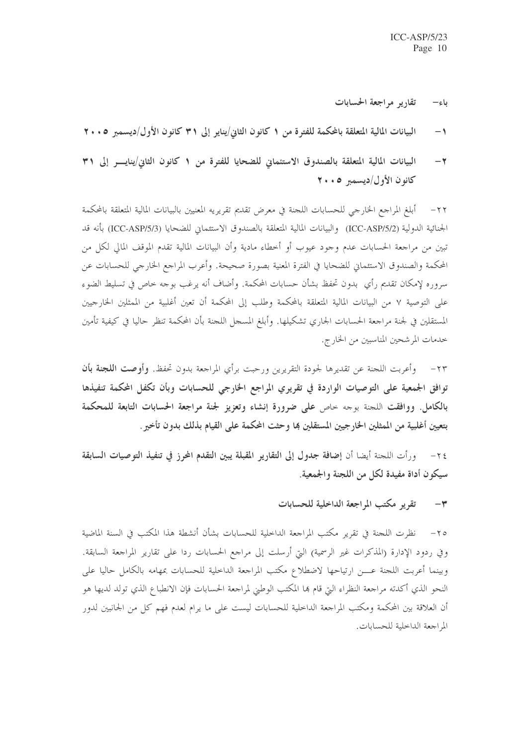- تقارير مراجعة الحسابات باء–
- البيانات المالية المتعلقة بالمحكمة للفترة من ١ كانون الثاني/يناير إلى ٣١ كانون الأول/ديسمبر ٢٠٠٥  $\rightarrow$
- البيانات المالية المتعلقة بالصندوق الاستئماني للضحايا للفترة من ١ كانون الثاني/ينايس إلى ٣١  $-\tau$ كانون الأول/ديسمبر ٠٠٥

أبلغ المراجع الخارجي للحسابات اللجنة في معرض تقديم تقريريه المعنيين بالبيانات المالية المتعلقة بالمحكمة  $-77$ الجنائية الدولية (ICC-ASP/5/2) والبيانات المالية المتعلقة بالصندوق الاستئماني للضحايا (ICC-ASP/5/3) بأنه قد تبين من مراجعة الحسابات عدم وجود عيوب أو أخطاء مادية وأن البيانات المالية تقدم الموقف المالي لكل من المحكمة والصندوق الاستئماني للضحايا في الفترة المعنية بصورة صحيحة. وأعرب المراجع الخارجي للحسابات عن سروره لإمكان تقديم رأي بدون تحفظ بشأن حسابات المحكمة. وأضاف أنه يرغب بوحه خاص في تسليط الضوء على التوصية ٧ من البيانات المالية المتعلقة بالمحكمة وطلب إلى المحكمة أن تعين أغلبية من الممثلين الخارجيين المستقلين في لجنة مراجعة الحسابات الجاري تشكيلها. وأبلغ المسجل اللجنة بأن المحكمة تنظر حاليا في كيفية تأمين خدمات المرشحين المناسبين من الخارج.

٢٣ – وأعربت اللجنة عن تقديرها لجودة التقريرين ورحبت برأي المراجعة بدون تحفظ. وأوصت ا**للجنة بأن** توافق الجمعية على التوصيات الواردة في تقريري المراجع الخارجي للحسابات وبأن تكفل المحكمة تنفيذها بالكامل. ووافقت اللحنة بوحه حاص على ضرورة إنشاء وتعزيز لجنة مراجعة الحسابات التابعة للمحكمة بتعيين أغلبية من الممثلين الخارجيين المستقلين بما وحثت المحكمة على القيام بذلك بدون تأخير .

٢٤- ورأت اللجنة أيضا أن إضافة جدول إلى التقارير المقبلة يبين التقدم المحرز في تنفيذ التوصيات السابقة سيكون أداة مفيدة لكل من اللجنة والجمعية.

### تقويو مكتب المراجعة الداخلية للحسابات  $-1$

٢٥- نظرت اللجنة في تقرير مكتب المراجعة الداخلية للحسابات بشأن أنشطة هذا المكتب في السنة الماضية وفي ردود الإدارة (المذكرات غير الرسمية) التي أرسلت إلى مراجع الحسابات ردا على تقارير المراجعة السابقة. وبينما أعربت اللجنة عسن ارتياحها لاضطلاع مكتب المراجعة الداخلية للحسابات بمهامه بالكامل حاليا على النحو الذي أكدته مراجعة النظراء التي قام بما المكتب الوطني لمراجعة الحسابات فإن الانطباع الذي تولد لديها هو أن العلاقة بين المحكمة ومكتب المراجعة الداخلية للحسابات ليست على ما يرام لعدم فهم كل من الجانبين لدور المراجعة الداخلية للحسابات.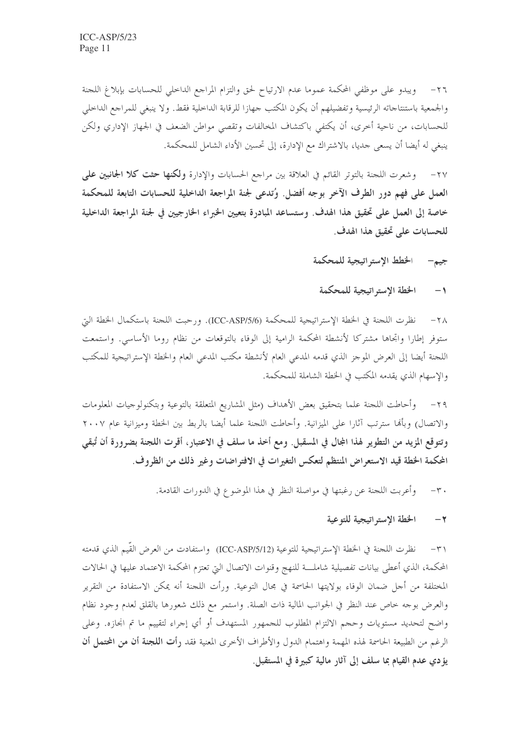٢٦– ويبدو على موظفى المحكمة عموما عدم الارتياح لحق والتزام المراجع الداخلي للحسابات بإبلاغ اللجنة والجمعية باستنتاجاته الرئيسية وتفضيلهم أن يكون المكتب جهازا للرقابة الداخلية فقط. ولا ينبغي للمراجع الداخلي للحسابات، من ناحية أخرى، أن يكتفي باكتشاف المخالفات وتقصى مواطن الضعف في الجهاز الإداري ولكن ينبغي له أيضا أن يسعى جديا، بالاشتراك مع الإدارة، إلى تحسين الأداء الشامل للمحكمة.

٢٧- و وشعرت اللجنة بالتوتر القائم في العلاقة بين مراجع الحسابات والإدارة ولكنها حثت كلا الجانبين على العمل على فهم دور الطرف الآخر بوجه أفضل. وُتدعى لجنة المراجعة الداخلية للحسابات التابعة للمحكمة خاصة إلى العمل على تحقيق هذا الهدف. وستساعد المبادرة بتعيين الخبراء الخارجيين في لجنة المراجعة الداخلية للحسابات على تحقيق هذا الهدف.

> الخطط الإستر اتيجية للمحكمة جيم-

### الخطة الإستراتيجية للمحكمة  $-1$

٢٨ – نظرت اللجنة في الخطة الإستراتيجية للمحكمة (ICC-ASP/5/6). ورحبت اللجنة باستكمال الخطة التي ستوفر إطارا واتجاها مشتركا لأنشطة المحكمة الرامية إلى الوفاء بالتوقعات من نظام روما الأساسى. واستمعت اللجنة أيضا إلى العرض الموجز الذي قدمه المدعى العام لأنشطة مكتب المدعى العام والخطة الإستراتيجية للمكتب والإسهام الذي يقدمه المكتب في الخطة الشاملة للمحكمة.

وأحاطت اللجنة علما بتحقيق بعض الأهداف (مثل المشاريع المتعلقة بالتوعية وبتكنولوجيات المعلومات  $-\tau$ والاتصال) وبألها سترتب آثارا على الميزانية. وأحاطت اللجنة علما أيضا بالربط بين الخطة وميزانية عام ٢٠٠٧ وتتوقع المزيد من التطوير لهذا المجال في المسقبل. ومع أخذ ما سلف في الاعتبار، أقرت اللجنة بضرورة أن تُبقى المحكمة الخطة قيد الاستعراض المنتظم لتعكس التغيرات في الافتراضات وغير ذلك من الظروف.

> وأعربت اللجنة عن رغبتها في مواصلة النظر في هذا الموضوع في الدورات القادمة.  $-\tau$ .

#### الخطة الإستر اتيجية للتوعية  $-\tau$

٣١– نظرت اللجنة في الخطة الإستراتيجية للتوعية (ICC-ASP/5/12) واستفادت من العرض القَّيم الذي قدمته المحكمة، الذي أعطى بيانات تفصيلية شاملـــة للنهج وقنوات الاتصال التي تعتزم المحكمة الاعتماد عليها في الحالات المختلفة من أحل ضمان الوفاء بولايتها الحاسمة في مجال التوعية. ورأت اللجنة أنه يمكن الاستفادة من التقرير والعرض بوجه خاص عند النظر في الجوانب المالية ذات الصلة. واستمر مع ذلك شعورها بالقلق لعدم وجود نظام واضح لتحديد مستويات وحجم الالتزام المطلوب للجمهور المستهدف أو أي إجراء لتقييم ما تم انجازه. وعلى الرغم من الطبيعة الحاسمة لهذه المهمة واهتمام الدول والأطراف الأخرى المعنية فقد **رأت اللجنة أن من المحتمل أن** يؤدي عدم القيام بما سلف إلى آثار مالية كبيرة في المستقبل.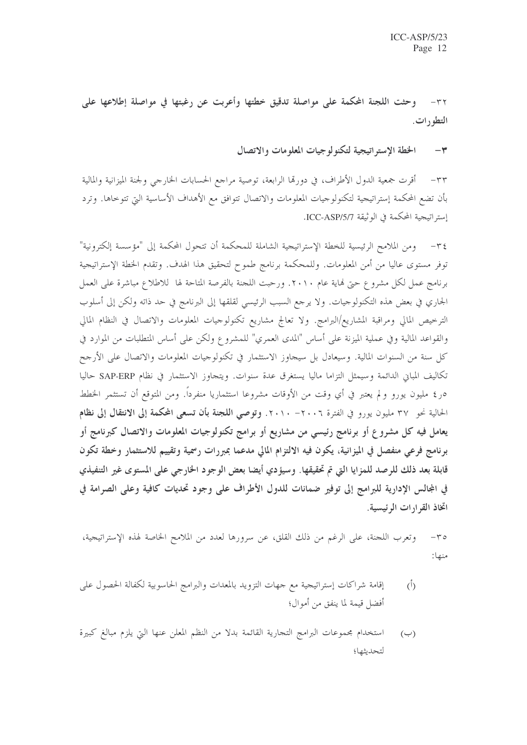وحثت اللجنة المحكمة على مواصلة تدقيق خطتها وأعربت عن رغبتها في مواصلة إطلاعها على  $-\tau\tau$ التطورات.

> الخطة الاستر اتيجية لتكنولوجيات المعلومات والاتصال  $-\tau$

٣٣ – أقرت جمعية الدول الأطراف، في دورتما الرابعة، توصية مراجع الحسابات الخارجي ولجنة الميزانية والمالية بأن تضع المحكمة إستراتيجية لتكنولوجيات المعلومات والاتصال تتوافق مع الأهداف الأساسية التي تتوحاها. وترد إستراتيجية المحكمة في الوثيقة ICC-ASP/5/7.

٣٤- ومن الملامح الرئيسية للخطة الإستراتيجية الشاملة للمحكمة أن تتحول المحكمة إلى "مؤسسة إلكترونية" توفر مستوى عاليا من أمن المعلومات. وللمحكمة برنامج طموح لتحقيق هذا الهدف. وتقدم الخطة الإستراتيجية برنامج عمل لكل مشروع حتى فماية عام ٢٠١٠. ورحبت اللجنة بالفرصة المتاحة لها للاطلاع مباشرة على العمل الجاري في بعض هذه التكنولوجيات. ولا يرجع السبب الرئيسي لقلقها إلى البرنامج في حد ذاته ولكن إلى أسلوب الترخيص المالي ومراقبة المشاريع/البرامج. ولا تعالج مشاريع تكنولوجيات المعلومات والاتصال في النظام المالي والقواعد المالية وفي عملية الميزنة على أساس "المدى العمري" للمشروع ولكن على أساس المتطلبات من الموارد في كل سنة من السنوات المالية. وسيعادل بل سيجاوز الاستثمار في تكنولوجيات المعلومات والاتصال على الأرجح تكاليف المباني الدائمة وسيمثل التزاما ماليا يستغرق عدة سنوات. ويتجاوز الاستثمار في نظام SAP-ERP حاليا ٥ر ٤ مليون يورو و لم يعتبر في أي وقت من الأوقات مشروعا استثماريا منفرداً. ومن المتوقع أن تستثمر الخطط الحالية نحو ٣٧ مليون يورو في الفترة ٢٠٠٦ - ٢٠١٠. وتوصى اللجنة بأن تسعى المحكمة إلى الانتقال إلى نظام يعامل فيه كل مشروع أو برنامج رئيسي من مشاريع أو برامج تكنولوجيات المعلومات والاتصال كبرنامج أو برنامج فرعي منفصل في الميزانية، يكون فيه الالتزام المالي مدعما بمبررات رسمية وتقييم للاستثمار وخطة تكون قابلة بعد ذلك للرصد للمزايا التي تم تحقيقها. وسيؤدي أيضا بعض الوجود الخارجي على المستوى غير التنفيذي في المجالس الإدارية للبرامج إلى توفير ضمانات للدول الأطراف على وجود تحديات كافية وعلى الصرامة في اتخاذ القرارات الرئيسية.

وتعرب اللجنة، على الرغم من ذلك القلق، عن سرورها لعدد من الملامح الخاصة لهذه الإستراتيجية،  $-\tau \circ$ منها:

- إقامة شراكات إستراتيجية مع جهات التزويد بالمعدات والبرامج الحاسوبية لكفالة الحصول على  $\hat{(\mathcal{L})}$ أفضل قيمة لما ينفق من أموال؛
- استخدام مجموعات البرامج التجارية القائمة بدلا من النظم المعلن عنها التي يلزم مبالغ كبيرة  $(\hookrightarrow)$ لتحديثها؛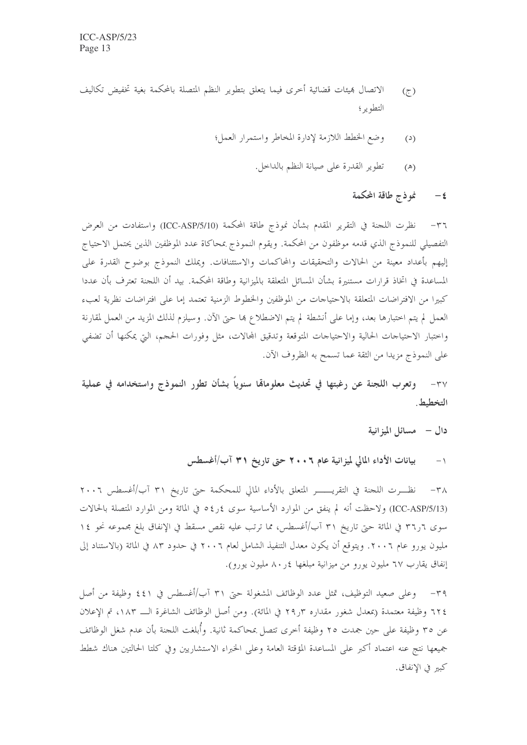- الاتصال بميئات قضائية أحرى فيما يتعلق بتطوير النظم المتصلة بالمحكمة بغية تخفيض تكاليف  $(7)$ التطوير ؛
	- وضع الخطط اللازمة لإدارة المخاطر واستمرار العمل؛  $(2)$ 
		- تطوير القدرة على صيانة النظم بالداخل.  $(\mathbb{A})$

نموذج طاقة المحكمة  $-\epsilon$ 

٣٦– نظرت اللحنة في التقرير المقدم بشأن نموذج طاقة المحكمة (ICC-ASP/5/10) واستفادت من العرض التفصيلي للنموذج الذي قدمه موظفون من المحكمة. ويقوم النموذج بمحاكاة عدد الموظفين الذين يحتمل الاحتياج إليهم بأعداد معينة من الحالات والتحقيقات والمحاكمات والاستئنافات. ويملك النموذج بوضوح القدرة على المساعدة في اتخاذ قرارات مستنيرة بشأن المسائل المتعلقة بالميزانية وطاقة المحكمة. بيد أن اللجنة تعترف بأن عددا كبيرا من الافتراضات المتعلقة بالاحتياجات من الموظفين والخطوط الزمنية تعتمد إما على افتراضات نظرية لعبء العمل لم يتم اختبارها بعد، وإما على أنشطة لم يتم الاضطلاع ها حتى الآن. وسيلزم لذلك المزيد من العمل لمقارنة واحتبار الاحتياحات الحالية والاحتياحات المتوقعة وتدقيق المحالات، مثل وفورات الحجم، التي يمكنها أن تضفي على النموذج مزيدا من الثقة عما تسمح به الظروف الآن.

وتعرب اللجنة عن رغبتها في تحديث معلومالها سنوياً بشأن تطور النموذج واستخدامه في عملية  $-\mathsf{r}'\mathsf{v}$ التخطيط.

دال - مسائل الميزانية

بیانات الأداء المالی لمیزانیة عام ۲۰۰۲ حتی تاریخ ۳۱ آب/أغسطس  $-1$ 

نظـــرت اللجنة في التقريــــــــر المتعلق بالأداء المالي للمحكمة حتى تاريخ ٣١ آب/أغسطس ٢٠٠٦  $-\tau \wedge$ (ICC-ASP/5/13) ولاحظت أنه لم ينفق من الموارد الأساسية سوى ٤ر٥٤ في المائة ومن الموارد المتصلة بالحالات سوى ٦ر٣٢ في المائة حتى تاريخ ٣١ آب/أغسطس، مما ترتب عليه نقص مسقط في الإنفاق بلغ مجموعه نحو ١٤ مليون يورو عام ٢٠٠٦. ويتوقع أن يكون معدل التنفيذ الشامل لعام ٢٠٠٦ في حدود ٨٣ في المائة (بالاستناد إلى إنفاق يقارب ٦٧ مليون يورو من ميزانية مبلغها ٤ر٨٠ مليون يورو).

٣٩- وعلى صعيد التوظيف، تمثل عدد الوظائف المشغولة حتى ٣١ آب/أغسطس في ٤٤١ وظيفة من أصل ٦٢٤ وظيفة معتمدة (بمعدل شغور مقداره ٢٩٫٣ في المائة). ومن أصل الوظائف الشاغرة الـــ ١٨٣، تم الإعلان عن ٣٥ وظيفة على حين جمدت ٢٥ وظيفة أخرى تتصل بمحاكمة ثانية. وأُبلغت اللجنة بأن عدم شغل الوظائف جميعها نتج عنه اعتماد أكبر على المساعدة المؤقتة العامة وعلى الخبراء الاستشاريين وفي كلتا الحالتين هناك شطط كبير في الانفاق.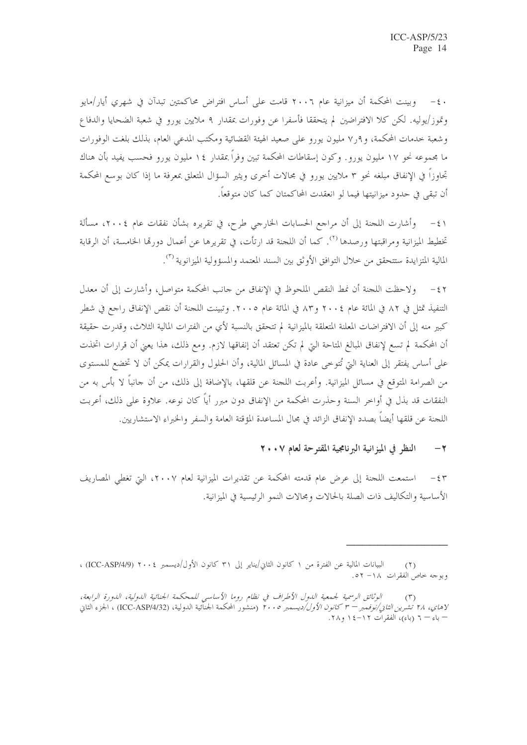٤٠ - وبينت المحكمة أن ميزانية عام ٢٠٠٦ قامت على أساس افتراض محاكمتين تبدآن في شهري أيار/مايو وتموز/يوليه. لكن كلا الافتراضين لم يتحققا فأسفرا عن وفورات بمقدار ٩ ملايين يورو في شعبة الضحايا والدفاع وشعبة خدمات المحكمة، و ٧ر٧ مليون يورو على صعيد الهيئة القضائية ومكتب المدعى العام، بذلك بلغت الوفورات ما مجموعه نحو ١٧ مليون يورو. وكون إسقاطات المحكمة تبين وفراً بمقدار ١٤ مليون يورو فحسب يفيد بأن هناك تجاوزاً فى الإنفاق مبلغه نحو ٣ ملايين يورو في مجالات أخرى ويثير السؤال المتعلق بمعرفة ما إذا كان بوسع المحكمة أن تبقى في حدود ميزانيتها فيما لو انعقدت المحاكمتان كما كان متوقعاً.

٤١ – وأشارت اللحنة إلى أن مراجع الحسابات الخارجي طرح، في تقريره بشأن نفقات عام ٢٠٠٤، مسألة تخطيط الميزانية ومراقبتها ورصدها ``. كما أن اللجنة قد ارتأت، في تقريرها عن أعمال دورها الخامسة، أن الرقابة المالية المتزايدة ستتحقق من حلال التوافق الأوثق بين السند المعتمد والمسؤولية الميزانوية (٣).

ولاحظت اللجنة أن نمط النقص الملحوظ في الإنفاق من حانب المحكمة متواصل، وأشارت إلى أن معدل  $-\xi$   $\zeta$ التنفيذ تمثل في ٨٢ في المائة عام ٢٠٠٤ و٨٣ في المائة عام ٢٠٠٥. وتبينت اللجنة أن نقص الإنفاق راجع في شطر كبير منه إلى أن الافتراضات المعلنة المتعلقة بالميزانية لم تتحقق بالنسبة لأي من الفترات المالية الثلاث، وقدرت حقيقة أن المحكمة لم تسع لإنفاق المبالغ المتاحة التي لم تكن تعتقد أن إنفاقها لازم. ومع ذلك، هذا يعني أن قرارات اتخذت على أساس يفتقر إلى العناية التي تُتوحى عادة في المسائل المالية، وأن الحلول والقرارات يمكن أن لا تخضع للمستوى من الصرامة المتوقع في مسائل الميزانية. وأعربت اللجنة عن قلقها، بالإضافة إلى ذلك، من أن حانباً لا بأس به من النفقات قد بذل في أواخر السنة وحذرت المحكمة من الإنفاق دون مبرر أياً كان نوعه. علاوة على ذلك، أعربت اللجنة عن قلقها أيضاً بصدد الإنفاق الزائد في مجال المساعدة المؤقتة العامة والسفر والخبراء الاستشاريين.

#### النظر في الميزانية البرنامجية المقترحة لعام ٢٠٠٧  $-\tau$

٤٣ – استمعت اللجنة إلى عرض عام قدمته المحكمة عن تقديرات الميزانية لعام ٢٠٠٧، التي تغطي المصاريف الأساسية والتكاليف ذات الصلة بالحالات ومجالات النمو الرئيسية في الميزانية.

البيانات المالية عن الفترة من ١ كانون الثاني/يناير إلى ٣١ كانون الأول/ديسمبر ٢٠٠٤ (ICC-ASP/4/9) ،  $(1)$ وبوجه خاص الفقرات ١٨- ٥٢.

الوثائق الرسمية لجمعية اللدول الأطراف في نظام روما الأساسي للمحكمة الجنائية اللدولية، اللدورة الرابعة، لاهاي، ٢٨ تشر*ين الثانى/نوفمبر – ٣ كانون الأول/ديسمبر ٢٠٠٥* (منشور المحكمة الجنائية الدولية، (ICC-ASP/4/32) ، الجزء الثاني – باء – ٦ (باء)، الفقرات ١٢-١٤ و ٢٨.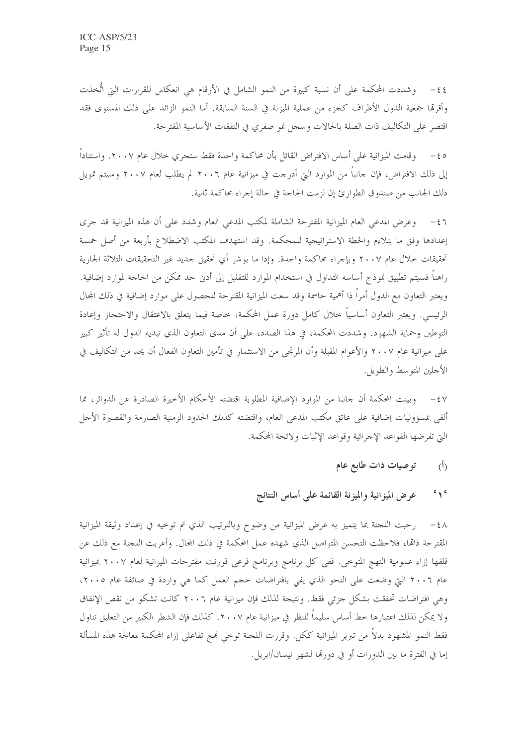٤٤- وشددت المحكمة على أن نسبة كبيرة من النمو الشامل في الأرقام هي انعكاس للقرارات التي اتُّخذت وأقرقما جمعية الدول الأطراف كجزء من عملية الميزنة في السنة السابقة. أما النمو الزائد على ذلك المستوى فقد اقتصر على التكاليف ذات الصلة بالحالات وسجل نمو صفري في النفقات الأساسية المقترحة.

وقامت الميزانية على أساس الافتراض القائل بأن محاكمة واحدة فقط ستجرى حلال عام ٢٠٠٧. واستناداً  $-\xi$  o إلى ذلك الافتراض، فإن حانباً من الموارد التي أدرجت في ميزانية عام ٢٠٠٦ لم يطلب لعام ٢٠٠٧ وسيتم تمويل ذلك الجانب من صندوق الطوارئ إن لزمت الحاجة في حالة إجراء محاكمة ثانية.

٤٦ - وعرض المدعى العام الميزانية المقترحة الشاملة لمكتب المدعى العام وشدد على أن هذه الميزانية قد حرى إعدادها وفق ما يتلاءم والخطة الاستراتيجية للمحكمة. وقد استهدف المكتب الاضطلاع بأربعة من أصل خمسة تحقيقات خلال عام ٢٠٠٧ وبإجراء محاكمة واحدة. وإذا ما بوشر أي تحقيق جديد غير التحقيقات الثلاثة الجارية راهناً فسيتم تطبيق نموذج أساسه التداول في استخدام الموارد للتقليل إلى أدن حد ممكن من الحاحة لموارد إضافية. ويعتبر التعاون مع الدول أمراً ذا أهمية حاسمة وقد سعت الميزانية المقترحة للحصول على موارد إضافية في ذلك المحال الرئيسي. ويعتبر التعاون أساسياً حلال كامل دورة عمل المحكمة، حاصة فيما يتعلق بالاعتقال والاحتجاز وإعادة التوطين وحماية الشهود. وشددت المحكمة، في هذا الصدد، على أن مدى التعاون الذي تبديه الدول له تأثير كبير على ميزانية عام ٢٠٠٧ والأعوام المقبلة وأن المرتجي من الاستثمار في تأمين التعاون الفعال أن يحد من التكاليف في الأجلين المتوسط والطويل.

٤٧ – وبينت المحكمة أن حانبا من الموارد الإضافية المطلوبة اقتضته الأحكام الأخيرة الصادرة عن الدوائر، مما ألقى بمسؤوليات إضافية على عاتق مكتب المدعى العام، واقتضته كذلك الحدود الزمنية الصارمة والقصيرة الأحل التي تفرضها القواعد الإجرائية وقواعد الإثبات ولائحة المحكمة.

- توصيات ذات طابع عام  $(\mathfrak{h})$
- $6 \sqrt{6}$ عرض الميزانية والميزنة القائمة على أساس النتائج

٤٨ - رحبت اللحنة بما يتميز به عرض الميزانية من وضوح وبالترتيب الذي تم توحيه في إعداد وثيقة الميزانية المقترحة ذامًا، فلاحظت التحسن المتواصل الذي شهده عمل المحكمة في ذلك المحال. وأعربت اللجنة مع ذلك عن قلقها إزاء عمومية النهج المتوحى. ففي كل برنامج وبرنامج فرعي قورنت مقترحات الميزانية لعام ٢٠٠٧ بميزانية عام ٢٠٠٦ التي وضعت على النحو الذي يفي بافتراضات حجم العمل كما هي واردة في صائفة عام ٢٠٠٥، وهي افتراضات تحققت بشكل جزئي فقط. ونتيجة لذلك فإن ميزانية عام ٢٠٠٦ كانت تشكو من نقص الإنفاق ولا يمكن لذلك اعتبارها حط أساس سليماً للنظر في ميزانية عام ٢٠٠٧. كذلك فإن الشطر الكبير من التعليق تناول فقط النمو المشهود بدلاً من تبرير الميزانية ككل. وقررت اللجنة توحي فمج تفاعلي إزاء المحكمة لمعالجة هذه المسألة إما في الفترة ما بين الدورات أو في دورتما لشهر نيسان/ابريل.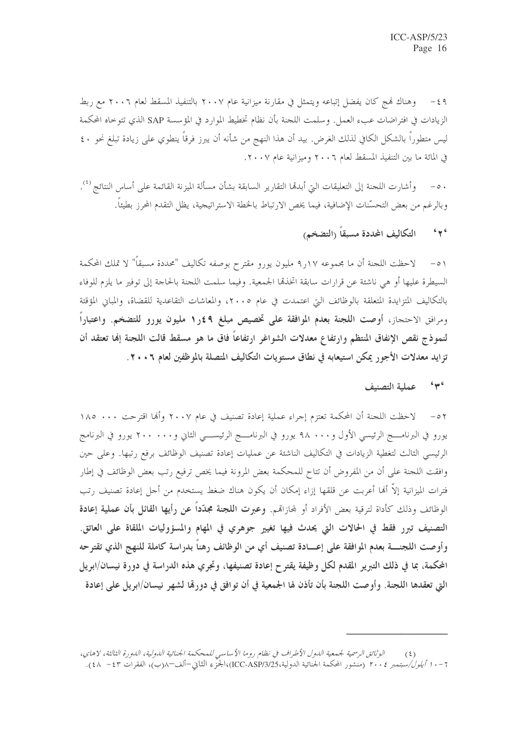٤٩ – وهناك فمج كان يفضل إتباعه ويتمثل في مقارنة ميزانية عام ٢٠٠٧ بالتنفيذ المسقط لعام ٢٠٠٦ مع ربط الزيادات في افتراضات عبء العمل. وسلمت اللجنة بأن نظام تخطيط الموارد في المؤسسة SAP الذي تتوحاه المحكمة ليس متطوراً بالشكل الكافي لذلك الغرض. بيد أن هذا النهج من شأنه أن يبرز فرقاً ينطوي على زيادة تبلغ نحو ٤٠ ؟ في المائة ما بين التنفيذ المسقط لعام ٢٠٠٦ وميزانية عام ٢٠٠٧.

وأشارت اللحنة إلى التعليقات التي أبدقما التقارير السابقة بشأن مسألة الميزنة القائمة على أساس النتائج <sup>(٤</sup>).  $-\circ$ . وبالرغم من بعض التحسَّنات الإضافية، فيما يخص الارتباط بالخطة الاستراتيجية، يظل التقدم المحرز بطيئاً.

### التكاليف المحددة مسبقاً (التضخم)  $6 \leftrightarrow 6$

٥١ – لاحظت اللجنة أن ما مجموعه ١٧ر٩ مليون يورو مقترح بوصفه تكاليف "محددة مسبقاً" لا تملك المحكمة السيطرة عليها أو هي ناشئة عن قرارات سابقة اتخذهما الجمعية. وفيما سلمت اللجنة بالحاجة إلى توفير ما يلزم للوفاء بالتكاليف المتزايدة المتعلقة بالوظائف التي اعتمدت في عام ٢٠٠٥، والمعاشات التقاعدية للقضاة، والمباني المؤقتة ومرافق الاحتجاز، أوصت اللجنة بعدم الموافقة على تخصيص مبلغ ٩\$ر١ مليون يورو للتضخم. واعتباراً لنموذج نقص الإنفاق المنتظم وارتفاع معدلات الشواغر ارتفاعاً فاق ما هو مسقط قالت اللجنة إنها تعتقد أن تزايد معدلات الأجور يمكن استيعابه في نطاق مستويات التكاليف المتصلة بالموظفين لعام ٢٠٠٦.

#### $6406$ عملية التصنيف

٥٢ – لاحظت اللجنة أن المحكمة تعتزم إجراء عملية إعادة تصنيف في عام ٢٠٠٧ وألها اقترحت ١٨٠ ١٨٥ يورو في البرنامــــج الرئيسي الأول و٩٨٠٠٠ يورو في البرنامــــج الرئيســـي الثاني و٢٠٠٠٠٠ يورو في البرنامج الرئيسي الثالث لتغطية الزيادات في التكاليف الناشئة عن عمليات إعادة تصنيف الوظائف برفع رتبها. وعلى حين وافقت اللجنة على أن من المفروض أن تتاح للمحكمة بعض المرونة فيما يخص ترفيع رتب بعض الوظائف في إطار فترات الميزانية إلاَّ ألها أعربت عن قلقها إزاء إمكان أن يكون هناك ضغط يستخدم من أجل إعادة تصنيف رتب الوظائف وذلك كأداة لترقية بعض الأفراد أو لمحازاقم. وعبرت اللجنة مجلَّداً عن رأيها القائل بأن عملية إعادة التصنيف تبرر فقط في الحالات التي يحدث فيها تغيير جوهري في المهام والمسؤوليات الملقاة على العاتق. وأوصت اللجنــــة بعدم الموافقة على إعــــادة تصنيف أي من الوظائف رهناً بدراسة كاملة للنهج الذي تقترحه المحكمة، بما في ذلك التبرير المقدم لكل وظيفة يقتر ح إعادة تصنيفها، وتجري هذه الدراسة في دورة نيسان/ابريل التي تعقدها اللجنة. وأوصت اللجنة بأن تأذن لها الجمعية في أن توافق في دورةما لشهر نيسان/ابريل على إعادة

الوثائق الرسمية لجمعية اللهول الأطراف في نظام روما الأساسي للمحكمة الجنائية اللهولية، اللهورة الثالثة، لاهاي،  $(5)$ 7 – . 1 *أيلول/سبتمبر ٢٠٠٤* (منشور المحكمة الجنائية الدولية،ICC-ASP/3/25)،الجزَّء الثاني–ألف–٨(ب)، الفقرات ٤٣ – ٤٨).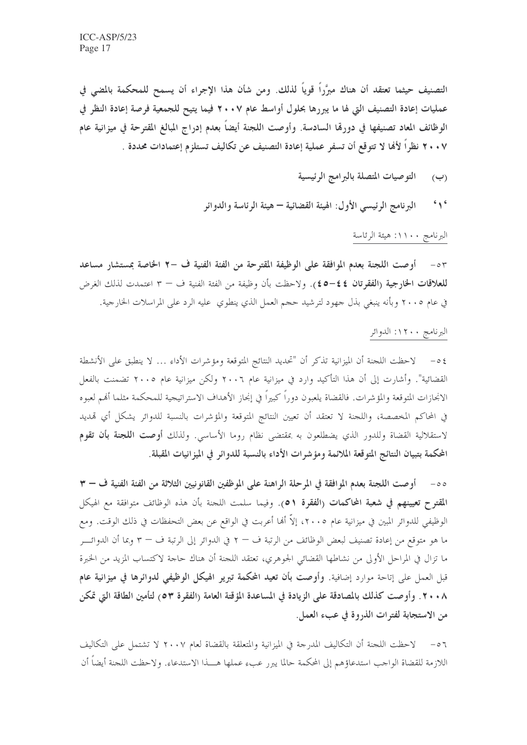التصنيف حيثما تعتقد أن هناك مبرَّراً قوياً لذلك. ومن شأن هذا الإجراء أن يسمح للمحكمة بالمضى في عمليات إعادة التصنيف التي لها ما يبررها بحلول أواسط عام ٢٠٠٧ فيما يتيح للجمعية فرصة إعادة النظر في الوظائف المعاد تصنيفها في دورقما السادسة. وأوصت اللجنة أيضاً بعدم إدراج المبالغ المقترحة في ميزانية عام ٢٠٠٧ نظراً لأهَا لا تتوقع أن تسفر عملية إعادة التصنيف عن تكاليف تستلزم إعتمادات محددة .

- التوصيات المتصلة بالبرامج الرئيسية  $(\hookrightarrow)$
- $6 \wedge 6$ البرنامج الرئيسي الأول: الهيئة القضائية – هيئة الرئاسة والدوائر

## البرنامج ١١٠٠: هيئة الرئاسة

٥٣ - أوصت اللجنة بعدم الموافقة على الوظيفة المقترحة من الفئة الفنية ف –٢ الخاصة بمستشار مساعد للعلاقات الخارجية (الفقرتان ٤٤–٤٥). ولاحظت بأن وظيفة من الفئة الفنية ف – ٣ اعتمدت لذلك الغرض في عام ٢٠٠٥ وبأنه ينبغي بذل جهود لترشيد حجم العمل الذي ينطوي عليه الرد على المراسلات الخارجية.

## البرنامج ١٢٠٠: الدوائر

٥٤ – لاحظت اللجنة أن الميزانية تذكر أن "تحديد النتائج المتوقعة ومؤشرات الأداء … لا ينطبق على الأنشطة القضائية". وأشارت إلى أن هذا التأكيد وارد في ميزانية عام ٢٠٠٦ ولكن ميزانية عام ٢٠٠٥ تضمنت بالفعل الانجازات المتوقعة والمؤشرات. فالقضاة يلعبون دوراً كبيراً في إنجاز الأهداف الاستراتيجية للمحكمة مثلما أفمم لعبوه في المحاكم المخصصة، واللحنة لا تعتقد أن تعيين النتائج المتوقعة والمؤشرات بالنسبة للدوائر يشكل أي تمديد لاستقلالية القضاة وللدور الذي يضطلعون به بمقتضى نظام روما الأساسي. ولذلك أ**وصت اللجنة بأن تقوم** المحكمة بتبيان النتائج المتوقعة الملائمة ومؤشرات الأداء بالنسبة للدوائر في الميزانيات المقبلة.

٥٥ – أو صت اللجنة بعدم الموافقة في المرحلة الراهنة على الموظفين القانونيين الثلاثة من الفئة الفنية ف – ٣ المقترح تعيينهم في شعبة المحاكمات (الفقرة ٥١). وفيما سلمت اللجنة بأن هذه الوظائف متوافقة مع الهيكل الوظيفي للدوائر المبين في ميزانية عام ٢٠٠٥، إلاَّ أَهْا أُعربت في الواقع عن بعض التحفظات في ذلك الوقت. ومع ما هو متوقع من إعادة تصنيف لبعض الوظائف من الرتبة ف – ٢ في الدوائر إلى الرتبة ف – ٣ وبما أن الدوائـــر ما تزال في المراحل الأولى من نشاطها القضائي الجوهري، تعتقد اللجنة أن هناك حاجة لاكتساب المزيد من الخبرة قبل العمل على إتاحة موارد إضافية. وأوصت بأن تعيد المحكمة تبرير الهيكل الوظيفي لدوائرها في ميزانية عام ٢٠٠٨. وأوصت كذلك بالمصادقة على الزيادة في المساعدة المؤقتة العامة (الفقرة ٥٣م) لتأمين الطاقة التي تمكن من الاستجابة لفترات الذروة في عبء العمل.

لاحظت اللجنة أن التكاليف المدرجة في الميزانية والمتعلقة بالقضاة لعام ٢٠٠٧ لا تشتمل على التكاليف  $-07$ اللازمة للقضاة الواحب استدعاؤهم إلى المحكمة حالما يبرر عبء عملها هـــذا الاستدعاء. ولاحظت اللحنة أيضاً أن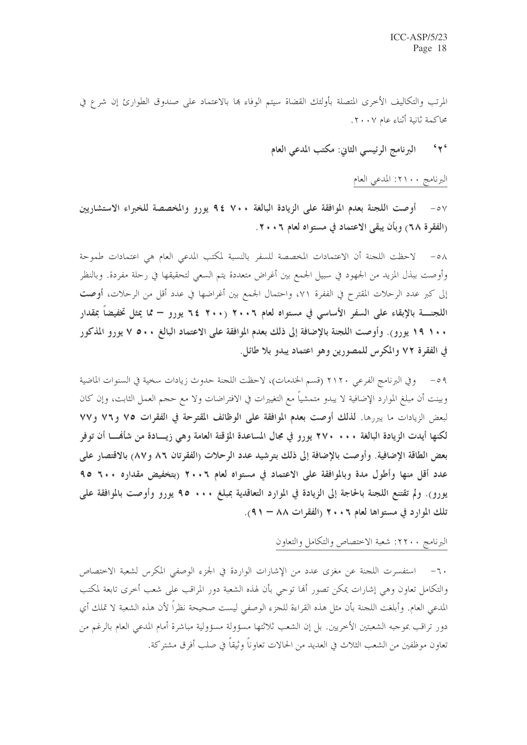المرتب والتكاليف الأخرى المتصلة بأولئك القضاة سيتم الوفاء بما بالاعتماد على صندوق الطوارئ إن شرع في محاكمة ثانية أثناء عام ٢٠٠٧.

### $6y6$ البرنامج الرئيسي الثاني: مكتب المدعى العام

## البرنامج ٢١٠٠: المدعي العام

٥٧ - أوصت اللجنة بعدم الموافقة على الزيادة البالغة ٧٠٠ £ ٩ يورو والمخصصة للخبراء الاستشارين (الفقرة ٦٨) وبأن يبقى الاعتماد في مستواه لعام ٢٠٠٦.

0٨ - لاحظت اللجنة أن الاعتمادات المخصصة للسفر بالنسبة لمكتب المدعى العام هي اعتمادات طموحة وأوصت ببذل المزيد من الجهود في سبيل الجمع بين أغراض متعددة يتم السعى لتحقيقها في رحلة مفردة. وبالنظر إلى كبر عدد الرحلات المقترح في الففرة ٧١، واحتمال الجمع بين أغراضها في عدد أقل من الرحلات، أوصت اللجنـــــة بالإبقاء على السفر الأساسي في مستواه لعام ٢٠٠٦ (٢٠٠ ٢٤ يورو — مما يمثل تخفيضاً بمقدار ١٠٠ ١٩ يورو). وأوصت اللجنة بالإضافة إلى ذلك بعدم الموافقة على الاعتماد البالغ ٥٠٠ ٧ يورو المذكور في الفقرة ٧٢ والمكرس للمصورين وهو اعتماد يبدو بلا طائل.

٥٩ – وفي البرنامج الفرعي ٢١٢٠ (قسم الخدمات)، لاحظت اللجنة حدوث زيادات سخية في السنوات الماضية وبينت أن مبلغ الموارد الإضافية لا يبدو متمشياً مع التغييرات في الافتراضات ولا مع حجم العمل الثابت، وإن كان لبعض الزيادات ما يبررها. لذلك أوصت بعدم الموافقة على الوظائف المقترحة في الفقرات ٧٥ و٧٢ و٧٧ لكنها أيدت الزيادة البالغة • • • • ٢٧٠ يورو في مجال المساعدة المؤقتة العامة وهي زيسـادة من شأَهْــــا أن توفر بعض الطاقة الإضافية. وأوصت بالإضافة إلى ذلك بترشيد عدد الرحلات (الفقرتان ٨٦ و٨٧) بالاقتصار على عدد أقل منها وأطول مدة وبالموافقة على الاعتماد في مستواه لعام ٢٠٠٦ (بتخفيض مقداره ٦٠٠ ٩٥ يورو). ولم تقتنع اللجنة بالحاجة إلى الزيادة في الموارد التعاقدية بمبلغ • • • • 90 يورو وأوصت بالموافقة على تلك الموارد في مستواها لعام ٢٠٠٦ (الفقرات ٨٨ - ٩١).

## البرنامج ٢٢٠٠: شعبة الاختصاص والتكامل والتعاون

٦٠– استفسرت اللجنة عن مغزى عدد من الإشارات الواردة في الجزء الوصفي المكرس لشعبة الاختصاص والتكامل تعاون وهي إشارات يمكن تصور ألها توحى بأن لهذه الشعبة دور المراقب على شعب أخرى تابعة لمكتب المدعى العام. وأبلغت اللجنة بأن مثل هذه القراءة للجزء الوصفى ليست صحيحة نظراً لأن هذه الشعبة لا تملك أي دور تراقب بموجبه الشعبتين الأخريين. بل إن الشعب ثلاثتها مسؤولة مسؤولية مباشرة أمام المدعى العام بالرغم من تعاون موظفين من الشعب الثلاث في العديد من الحالات تعاوناً وثيقاً في صلب أفرق مشتركة.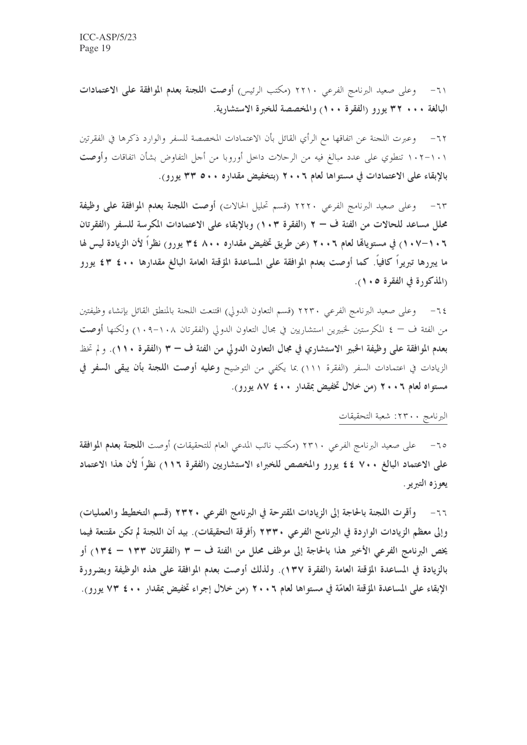٦١- وعلى صعيد البرنامج الفرعي ٢٢١٠ (مكتب الرئيس) أوصت ا**للجنة بعدم الموافقة على الاعتمادات** البالغة ٢٢٠٠ بورو (الفقرة ١٠٠) والمخصصة للخبرة الاستشارية.

٦٢– وعبرت اللجنة عن اتفاقها مع الرأي القائل بأن الاعتمادات المخصصة للسفر والوارد ذكرها في الفقرتين ١٠١–١٠٢ تنطوي على عدد مبالغ فيه من الرحلات داخل أوروبا من أحل التفاوض بشأن اتفاقات وأ**وصت** بالإبقاء على الاعتمادات في مستواها لعام ٢٠٠٦ (بتخفيض مقداره ٥٠٠ ٣٣ يورو).

٦٣- وعلى صعيد البرنامج الفرعي ٢٢٢٠ (قسم تحليل الحالات) أوصت اللجنة بعدم الموافقة على وظيفة محلل مساعد للحالات من الفئة ف – ٢ (الفقرة ١٠٣) وبالإبقاء على الاعتمادات المكرسة للسفر (الفقرتان ٠١-١٠٧) في مستوياقما لعام ٢٠٠٦ (عن طريق تخفيض مقداره ٨٠٠ ٣٤ يورو) نظراً لأن الزيادة ليس لها ما يبررها تبريراً كافياً. كما أوصت بعدم الموافقة على المساعدة المؤقتة العامة البالغ مقدارها ٤٠٠ ٤٣ يورو (المذكورة في الفقرة ١٠٥).

وعلى صعيد البرنامج الفرعي ٢٢٣٠ (قسم التعاون الدولي) اقتنعت اللحنة بالمنطق القائل بإنشاء وظيفتين  $-72$ من الفئة ف — ٤ المكرستين لخبيرين استشاريين في محال التعاون الدولي (الفقرتان ١٠٨–١٠٩) ولكنها أ**وصت** بعدم الموافقة على وظيفة الخبير الاستشاري في مجال التعاون الدولي من الفتة ف – ٣ (الفقرة ١١٠). ولم تخط الزيادات في اعتمادات السفر (الفقرة ١١١) بما يكفى من التوضيح **وعليه أوصت اللجنة بأن يبقى السفر في** مستواه لعام ٢٠٠٦ (من خلال تخفيض بمقدار ٤٠٠ ٨٧ يورو).

### البرنامج ٢٣٠٠: شعبة التحقيقات

٦٥– على صعيد البرنامج الفرعي ٢٣١٠ (مكتب نائب المدعى العام للتحقيقات) أوصت ا**للجنة بعدم الموافقة** على الاعتماد البالغ ٧٠٠ ٤٤ يورو والمخصص للخبراء الاستشاريين (الفقرة ١١٦) نظراً لأن هذا الاعتماد يعوزه التبريو .

٦٦- وأقرت اللجنة بالحاجة إلى الزيادات المقترحة في البرنامج الفرعي ٢٣٢٠ (قسم التخطيط والعمليات) وإلى معظم الزيادات الواردة في البرنامج الفرعي ٢٣٣٠ (أفرقة التحقيقات). بيد أن اللجنة لم تكن مقتنعة فيما يخص البرنامج الفرعي الأخير هذا بالحاجة إلى موظف محلل من الفئة ف – ٣ (الفقرتان ١٣٣ – ١٣٤) أو بالزيادة في المساعدة المؤقتة العامة (الفقرة ١٣٧). ولذلك أوصت بعدم الموافقة على هذه الوظيفة وبضرورة الإبقاء على المساعدة المؤقتة العامّة في مستواها لعام ٢ . ٢ (من خلال إجراء تخفيض بمقدار ٤٠٠ ٧٣ يورو).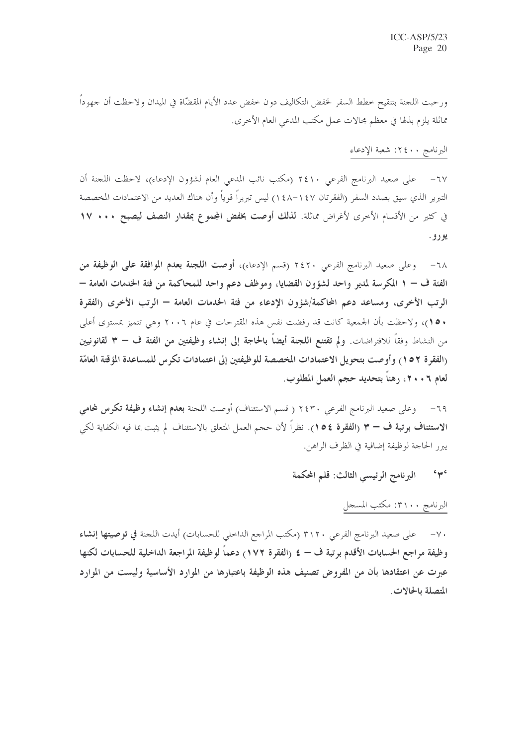ورحبت اللحنة بتنقيح خطط السفر لحفض التكاليف دون خفض عدد الأيام المقضّاة في الميدان ولاحظت أن جهوداً مماثلة يلزم بذلها في معظم مجالات عمل مكتب المدعى العام الأخرى.

## البرنامج ٤٠٠ : شعبة الإدعاء

٦٧- على صعيد البرنامج الفرعي ٢٤١٠ (مكتب نائب المدعى العام لشؤون الإدعاء)، لاحظت اللجنة أن التبرير الذي سيق بصدد السفر (الفقرتان ١٤٧–١٤٨) ليس تبريراً قوياً وأن هناك العديد من الاعتمادات المخصصة في كثير من الأقسام الأخرى لأغراض مماثلة. لذلك أوصت بخفض المجموع بمقدار النصف ليصبح ١٧٠٠ ١٧ يورو.

٦٨– وعلى صعيد البرنامج الفرعي ٢٤٢٠ (قسم الإدعاء)، أوصت ا**للجنة بعدم الموافقة على الوظيفة من** الفئة ف – ١ المكرسة لمدير واحد لشؤون القضايا، وموظف دعم واحد للمحاكمة من فئة الخدمات العامة – الرتب الأخرى، ومساعد دعم المحاكمة/شؤون الإدعاء من فئة الخدمات العامة – الرتب الأخرى <sub>(</sub>الفقرة • ١٥)، ولاحظت بأن الجمعية كانت قد رفضت نفس هذه المقترحات في عام ٢٠٠٦ وهي تتميز بمستوى أعلى من النشاط وفقاً للافتراضات. ولم تقتنع اللجنة أيضاً بالحاجة إلى إنشاء وظيفتين من الفئة ف — ٣ لقانونيين (الفقرة ١٥٢) وأوصت بتحويل الاعتمادات المخصصة للوظيفتين إلى اعتمادات تكرس للمساعدة المؤقتة العامّة لعام ٦ . ٢٠ ، رهناً بتحديد حجم العمل المطلوب.

وعلى صعيد البرنامج الفرعي ٢٤٣٠ ( قسم الاستئناف) أوصت اللجنة بعدم إنشاء وظيفة تكوس لمحامي  $-79$ الاستئناف بوتبة ف – ٣ (الفقوة ١٥٤). نظراً لأن حجم العمل المتعلق بالاستئناف لم يثبت بما فيه الكفاية لكي يبرر الحاجة لوظيفة إضافية في الظرف الراهن.

### $646$ البرنامج الرئيسي الثالث: قلم المحكمة

## البرنامج ٣١٠٠٠ مكتب المسجل

٧٠– على صعيد البرنامج الفرعي ٣١٢٠ (مكتب المراجع الداخلي للحسابات) أيدت اللجنة في توصيتها إنشاء وظيفة مراجع الحسابات الأقدم برتبة ف — ٤ (الفقرة ١٧٢) دعماً لوظيفة المراجعة الداخلية للحسابات لكنها عبرت عن اعتقادها بأن من المفروض تصنيف هذه الوظيفة باعتبارها من الموارد الأساسية وليست من الموارد المتصلة بالحالات.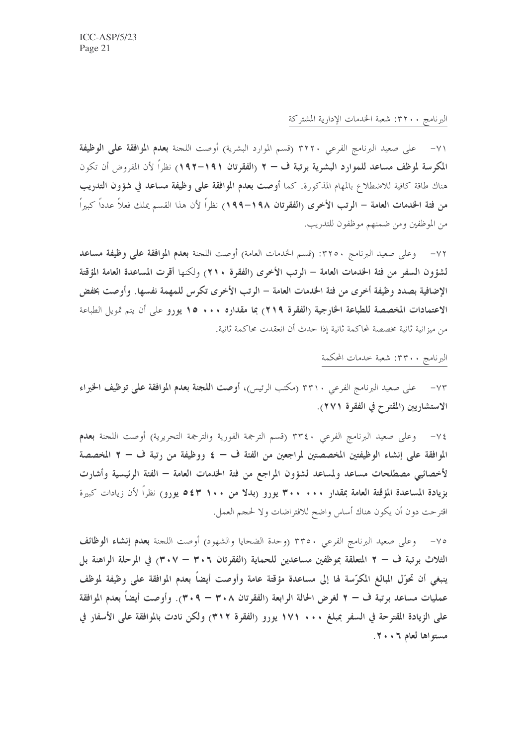## البرنامج ٣٢٠٠: شعبة الحدمات الإدارية المشتركة

٧١– على صعيد البرنامج الفرعي ٣٢٢٠ (قسم الموارد البشرية) أوصت اللجنة بعدم الموافقة على الوظيفة المكرسة لموظف مساعد للموارد البشرية برتبة ف – ٢ (الفقرتان ١٩١–١٩٢) نظراً لأن المفروض أن تكون هناك طاقة كافية للاضطلاع بالمهام المذكورة. كما أوصت بعدم الموافقة على وظيفة مساعد في شؤون التدريب من فتة الخدمات العامة – الرتب الأخرى (الفقرتان ١٩٨–١٩٩) نظراً لأن هذا القسم يملك فعلاً عدداً كبيراً من الموظفين ومن ضمنهم موظفون للتدريب.

وعلى صعيد البرنامج ٣٢٥٠: (قسم الخدمات العامة) أوصت اللجنة بعدم الموافقة على وظيفة مساعد لشؤون السفر من فئة الخدمات العامة – الرتب الأخرى (الفقرة ٢١٠) ولكنها أقرت المساعدة العامة المؤقتة الإضافية بصدد وظيفة أخرى من فئة الخدمات العامة – الرتب الأخرى تكرس للمهمة نفسها. وأوصت بخفض الاعتمادات المخصصة للطباعة الخارجية (الفقرة ٢١٩) بما مقداره ١٠٠٠ ١٥ يورو على أن يتم تمويل الطباعة من ميزانية ثانية مخصصة لمحاكمة ثانية إذا حدث أن انعقدت محاكمة ثانية.

البرنامج ٣٣٠٠: شعبة خدمات المحكمة

٧٣- على صعيد البرنامج الفرعي ٣٣١٠ (مكتب الرئيس)، أوصت اللجنة بعدم الموافقة على توظيف الخبراء الاستشاريين (المقترح في الفقرة ٢٧١).

v٤— وعلى صعيد البرنامج الفرعي ٣٣٤٠ (قسم الترجمة الفورية والترجمة التحريرية) أوصت اللجنة **بعدم** الموافقة على إنشاء الوظيفتين المخصصتين لمراجعين من الفئة ف — ٤ ووظيفة من رتبة ف — ٢ المخصصة لأخصائيي مصطلحات مساعد ولمساعد لشؤون المراجع من فتة الخدمات العامة — الفتة الرئيسية وأشارت بزيادة المساعدة المؤقتة العامة بمقدار ٢٠٠ . ٣٠٠ يورو (بدلا من ١٠٠ ٥٤٣ يورو) نظرًا لأن زيادات كبيرة اقترحت دون أن يكون هناك أساس واضح للافتراضات ولا لححم العمل.

٧٥- وعلى صعيد البرنامج الفرعي ٣٣٥٠ (وحدة الضحايا والشهود) أوصت اللجنة بعدم إنشاء الوظائف الثلاث برتبة ف – ٢ المتعلقة بموظفين مساعدين للحماية (الفقرتان ٣٠٦ – ٣٠٧) في المرحلة الراهنة بل ينبغي أن تحوَّل المبالغ المكرَّسة لها إلى مساعدة مؤقتة عامة وأوصت أيضاً بعدم الموافقة على وظيفة لموظف عمليات مساعد برتبة ف – ٢ لغرض الحالة الرابعة (الفقرتان ٣٠٨ – ٣٠٩). وأوصت أيضاً بعدم الموافقة على الزيادة المقترحة في السفر بمبلغ ١٧١ . ١٧١ يورو (الفقرة ٣١٢) ولكن نادت بالموافقة على الأسفار في مستواها لعام ٢٠٠٦.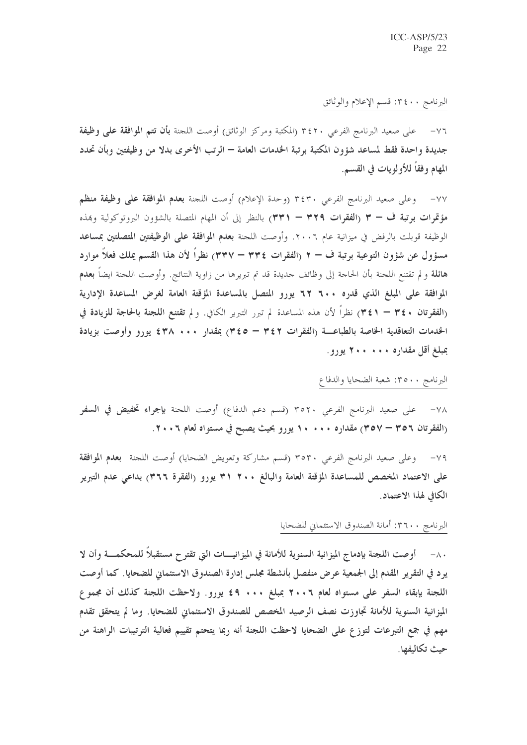## البرنامج ٣٤٠٠: قسم الإعلام والوثائق

على صعيد البرنامج الفرعي ٣٤٢٠ (المكتبة ومركز الوثائق) أوصت اللجنة **بأن تتم الموافقة على وظيفة**  $-\vee$   $\vee$ جديدة واحدة فقط لمساعد شؤون المكتبة برتبة الخدمات العامة — الرتب الأخرى بدلا من وظيفتين وبأن تحدد المهام وفقاً للأولويات في القسم.

٧٧ – وعلى صعيد البرنامج الفرعي ٣٤٣٠ (وحدة الإعلام) أوصت اللجنة بعدم الموافقة على وظيفة منظم مؤتمرات برتبة ف – ٣ (الفقرات ٣٢٩ – ٣٣١) بالنظر إلى أن المهام المتصلة بالشؤون البروتوكولية وبمذه الوظيفة قوبلت بالرفض في ميزانية عام ٢٠٠٦. وأوصت اللجنة بعدم الموافقة على الوظيفتين المتصلتين بمساعد مسؤول عن شؤون التوعية برتبة ف – ٢ (الفقرات ٣٣٤ – ٣٣٧) نظراً لأن هذا القسم يملك فعلاً موارد هائلة و لم تقتنع اللجنة بأن الحاجة إلى وظائف جديدة قد تم تبريرها من زاوية النتائج. وأوصت اللجنة ايضاً **بعدم** الموافقة على المبلغ الذي قدره ٢٠٠ ٦٢ يورو المتصل بالمساعدة المؤقتة العامة لغرض المساعدة الإدارية (الفقرتان ٣٤٠ – ٣٤١) نظراً لأن هذه المساعدة لم تبرر التبرير الكافي. ولم تقتنع اللجنة بالحاجة للزيادة في الخدمات التعاقدية الخاصة بالطباعـــة (الفقرات ٣٤٢ – ٣٤٥) بمقدار ٢٠٠٠ ٤٣٨ يورو وأوصت بزيادة بمبلغ أقل مقداره • • • • • ٢ يورو.

## البرنامج ٣٥٠٠: شعبة الضحايا والدفاع

على صعيد البرنامج الفرعي ٣٥٢٠ (قسم دعم الدفاع) أوصت اللجنة بإجراء تخفيض في السفر  $-\vee\wedge$ (الفقرتان ٣٥٦ – ٣٥٧) مقداره ١٠٠٠ . ١ يورو بحيث يصبح في مستواه لعام ٢٠٠٦.

٧٩– وعلى صعيد البرنامج الفرعي ٣٥٣٠ (قسم مشاركة وتعويض الضحايا) أوصت اللجنة بعدم الموافقة على الاعتماد المخصص للمساعدة المؤقتة العامة والبالغ ٢٠٠ ٣٩ يورو (الفقرة ٣٦٦) بداعي عدم التبرير الكافي لهذا الاعتماد.

### البرنامج ٣٦٠٠: أمانة الصندوق الاستئماني للضحايا

٨٠ - أوصت اللجنة بإدماج الميزانية السنوية للأمانة في الميزانيـــات التي تقترح مستقبلاً للمحكمـــة وأن لا يرد في التقرير المقدم إلى الجمعية عرض منفصل بأنشطة مجلس إدارة الصندوق الاستئماني للضحايا. كما أوصت اللجنة بإبقاء السفر على مستواه لعام ٢٠٠٦ بمبلغ ٠٠٠ ٤٩ يورو. ولاحظت اللجنة كذلك أن مجموع الميزانية السنوية للأمانة تجاوزت نصف الرصيد المخصص للصندوق الاستئماني للضحايا. وما لم يتحقق تقدم مهم في جمع التبرعات لتوزع على الضحايا لاحظت اللجنة أنه ربما يتحتم تقييم فعالية الترتيبات الراهنة من حت تكاليفها.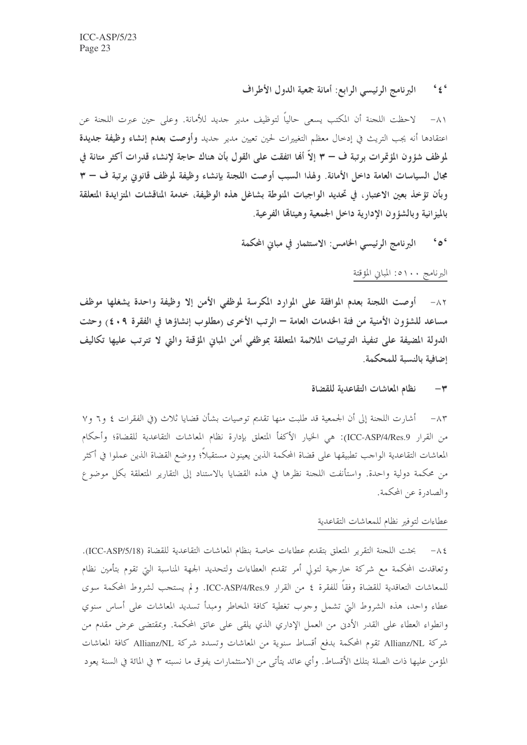### $6 \nless 6$ البرنامج الرئيسي الرابع: أمانة جمعية الدول الأطراف

لاحظت اللجنة أن المكتب يسعى حالياً لتوظيف مدير جديد للأمانة. وعلى حين عبرت اللجنة عن  $-\wedge$ اعتقادها أنه يجب التريث في إدخال معظم التغييرات لحين تعيين مدير حديد وأوصت بعدم إنشاء وظيفة جديدة لموظف شؤون المؤتمرات برتبة ف – ٣ إلاّ ألها اتفقت على القول بأن هناك حاجة لإنشاء قدرات أكثر متانة في مجال السياسات العامة داخل الأمانة. ولهذا السبب أوصت اللجنة بإنشاء وظيفة لموظف قانوني برتبة ف – ٣ وبأن تؤخذ بعين الاعتبار، في تحديد الواجبات المنوطة بشاغل هذه الوظيفة، خدمة المناقشات المتزايدة المتعلقة بالميز انية وبالشؤون الإدارية داخل الجمعية وهيئالها الفرعية.

### البرنامج الرئيسي الخامس: الاستثمار في مباني المحكمة  $606$

## البرنامج ١٠٠ه: المباني المؤقتة

٨٢- أوصت اللجنة بعدم الموافقة على الموارد المكرسة لموظفي الأمن إلا وظيفة واحدة يشغلها موظف مساعد للشؤون الأمنية من فئة الخدمات العامة — الرتب الأخرى (مطلوب إنشاؤها في الفقرة ٩ . ٤) وحثت الدولة المضيفة على تنفيذ الترتيبات الملائمة المتعلقة بموظفى أمن المبايي المؤقتة والتي لا تترتب عليها تكاليف إضافية بالنسبة للمحكمة.

#### نظام المعاشات التقاعدية للقضاة  $-\tau$

٨٣ – أشارت اللجنة إلى أن الجمعية قد طلبت منها تقديم توصيات بشأن قضايا ثلاث (في الفقرات ٤ و٦ و٧ من القرار ICC-ASP/4/Res.9): هي الخيار الأكفأ المتعلق بإدارة نظام المعاشات التقاعدية للقضاة؛ وأحكام المعاشات التقاعدية الواحب تطبيقها على قضاة المحكمة الذين يعينون مستقبلاً؛ ووضع القضاة الذين عملوا في أكثر من محكمة دولية واحدة. واستأنفت اللجنة نظرها في هذه القضايا بالاستناد إلى التقارير المتعلقة بكل موضوع والصادرة عن المحكمة.

### عطاءات لتوفير نظام للمعاشات التقاعدية

6 ٨- بحثت اللجنة التقرير المتعلق بتقديم عطاءات خاصة بنظام المعاشات التقاعدية للقضاة (ICC-ASP/5/18). وتعاقدت المحكمة مع شركة خارجية لتولى أمر تقديم العطاءات ولتحديد الجهة المناسبة التي تقوم بتأمين نظام للمعاشات التعاقدية للقضاة وفقاً للفقرة ٤ من القرار ICC-ASP/4/Res.9. ولم يستجب لشروط المحكمة سوى عطاء واحد، هذه الشروط التي تشمل وحوب تغطية كافة المخاطر ومبدأ تسديد المعاشات على أساس سنوي وانطواء العطاء على القدر الأدن من العمل الإداري الذي يلقى على عاتق المحكمة. وبمقتضى عرض مقدم من شركة Allianz/NL تقوم المحكمة بدفع أقساط سنوية من المعاشات وتسدد شركة Allianz/NL كافة المعاشات المؤمن عليها ذات الصلة بتلك الأقساط. وأي عائد يتأتى من الاستثمارات يفوق ما نسبته ٣ في المائة في السنة يعود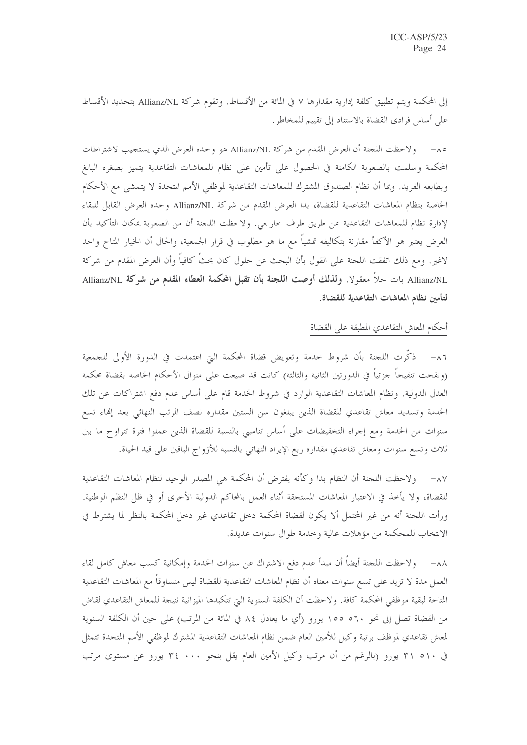إلى المحكمة ويتم تطبيق كلفة إدارية مقدارها ٧ في المائة من الأقساط. وتقوم شركة Allianz/NL بتحديد الأقساط على أساس فرادي القضاة بالاستناد إلى تقييم للمخاطر .

٨٥– ولاحظت اللجنة أن العرض المقدم من شركة Allianz/NL هو وحده العرض الذي يستجيب لاشتراطات المحكمة وسلمت بالصعوبة الكامنة في الحصول على تأمين على نظام للمعاشات التقاعدية يتميز بصغره البالغ وبطابعه الفريد. وبما أن نظام الصندوق المشترك للمعاشات التقاعدية لموظفي الأمم المتحدة لا يتمشى مع الأحكام الخاصة بنظام المعاشات التقاعدية للقضاة، بدا العرض المقدم من شركة Allianz/NL وحده العرض القابل للبقاء لإدارة نظام للمعاشات التقاعدية عن طريق طرف خارجي. ولاحظت اللجنة أن من الصعوبة بمكان التأكيد بأن العرض يعتبر هو الأكفأ مقارنة بتكاليفه تمشياً مع ما هو مطلوب في قرار الجمعية، والحال أن الخيار المتاح واحد لاغير. ومع ذلك اتفقت اللجنة على القول بأن البحث عن حلول كان بحثُ كافياً وأن العرض المقدم من شركة Allianz/NL بات حلاً معقولا. ولذلك أوصت اللجنة بأن تقبل المحكمة العطاء المقدم من شركة Allianz/NL لتأمين نظام المعاشات التقاعدية للقضاة.

### أحكام المعاش التقاعدي المطبقة على القضاة

٨٦– ذكَّرت اللجنة بأن شروط خدمة وتعويض قضاة المحكمة التي اعتمدت في الدورة الأولى للجمعية (ونقحت تنقيحاً حزئياً في الدورتين الثانية والثالثة) كانت قد صيغت على منوال الأحكام الخاصة بقضاة محكمة العدل الدولية. ونظام المعاشات التقاعدية الوارد في شروط الخدمة قام على أساس عدم دفع اشتراكات عن تلك الخدمة وتسديد معاش تقاعدي للقضاة الذين يبلغون سن الستين مقداره نصف المرتب النهائي بعد إنهاء تسع سنوات من الخدمة ومع إجراء التخفيضات على أساس تناسبي بالنسبة للقضاة الذين عملوا فترة تتراوح ما بين ثلاث وتسع سنوات ومعاش تقاعدي مقداره ربع الإيراد النهائي بالنسبة للأزواج الباقين على قيد الحياة.

٨٧– ولاحظت اللجنة أن النظام بدا وكأنه يفترض أن المحكمة هي المصدر الوحيد لنظام المعاشات التقاعدية للقضاة، ولا يأخذ في الاعتبار المعاشات المستحقة أثناء العمل بالمحاكم الدولية الأخرى أو في ظل النظم الوطنية. ورأت اللجنة أنه من غير المحتمل ألا يكون لقضاة المحكمة دحل تقاعدي غير دحل المحكمة بالنظر لما يشترط في الانتخاب للمحكمة من مؤهلات عالية وخدمة طوال سنوات عديدة.

٨٨– و لاحظت اللجنة أيضاً أن مبدأ عدم دفع الاشتراك عن سنوات الخدمة وإمكانية كسب معاش كامل لقاء العمل مدة لا تزيد على تسع سنوات معناه أن نظام المعاشات التقاعدية للقضاة ليس متساوقاً مع المعاشات التقاعدية المتاحة لبقية موظفى المحكمة كافة. ولاحظت أن الكلفة السنوية التي تتكبدها الميزانية نتيجة للمعاش التقاعدي لقاض من القضاة تصل إلى نحو ٥٦٠ ١٥٥ يورو (أي ما يعادل ٨٤ في المائة من المرتب) على حين أن الكلفة السنوية لمعاش تقاعدي لموظف برتبة وكيل للأمين العام ضمن نظام المعاشات التقاعدية المشترك لموظفي الأمم المتحدة تتمثل في ٢١٠ ٣١ يورو (بالرغم من أن مرتب وكيل الأمين العام يقل بنحو ٢٤ ٠٠٠ يورو عن مستوى مرتب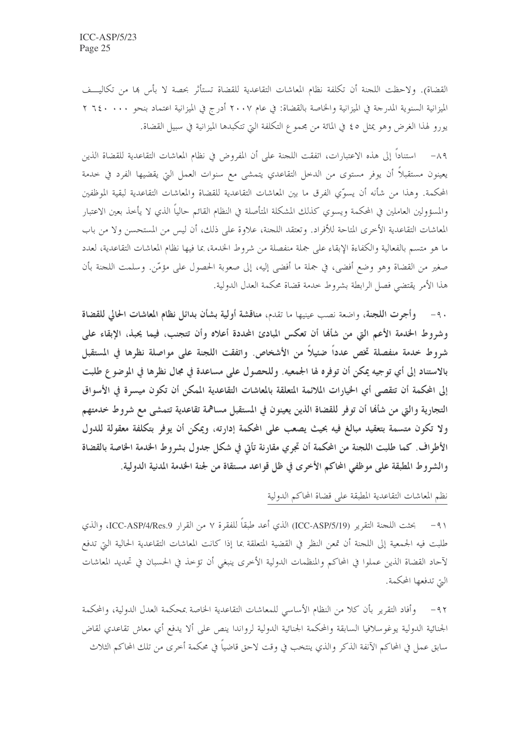القضاة). ولاحظت اللجنة أن تكلفة نظام المعاشات التقاعدية للقضاة تستأثر بحصة لا بأس بما من تكاليـــف الميزانية السنوية المدرجة في الميزانية والخاصة بالقضاة: في عام ٢٠٠٧ أدرج في الميزانية اعتماد بنحو ٢٦٤٠ ٢ يورو لهذا الغرض وهو يمثل ٤٥ في المائة من مجموع التكلفة التي تتكبدها الميزانية في سبيل القضاة.

٨٩ – استناداً إلى هذه الاعتبارات، اتفقت اللجنة على أن المفروض في نظام المعاشات التقاعدية للقضاة الذين يعينون مستقبلاً أن يوفر مستوى من الدحل التقاعدي يتمشى مع سنوات العمل التي يقضيها الفرد في حدمة المحكمة. وهذا من شأنه أن يسوِّي الفرق ما بين المعاشات التقاعدية للقضاة والمعاشات التقاعدية لبقية الموظفين والمسؤولين العاملين في المحكمة ويسوي كذلك المشكلة المتأصلة في النظام القائم حالياً الذي لا يأخذ بعين الاعتبار المعاشات التقاعدية الأخرى المتاحة للأفراد. وتعتقد اللجنة، علاوة على ذلك، أن ليس من المستحسن ولا من باب ما هو متسم بالفعالية والكفاءة الإبقاء على جملة منفصلة من شروط الخدمة، بما فيها نظام المعاشات التقاعدية، لعدد صغير من القضاة وهو وضع أفضى، في جملة ما أفضى إليه، إلى صعوبة الحصول على مؤمَّرٍ. وسلمت اللجنة بأن هذا الأمر يقتضي فصل الرابطة بشروط حدمة قضاة محكمة العدل الدولية.

٩٠- وأجرت اللجنة، واضعة نصب عينيها ما تقدم، مناقشة أولية بشأن بدائل نظام المعاشات الحالي للقضاة وشروط الخدمة الأعم التي من شألها أن تعكس المبادئ المحددة أعلاه وأن تتجنب، فيما يحبذ، الإبقاء على شروط خدمة منفصلة تخص عدداً ضئيلاً من الأشخاص. واتفقت اللجنة على مواصلة نظرها في المستقبل بالاستناد إلى أي توجيه يمكن أن توفره لها الجمعيه. وللحصول على مساعدة في مجال نظرها في الموضوع طلبت إلى المحكمة أن تتقصى أي الخيارات الملائمة المتعلقة بالمعاشات التقاعدية الممكن أن تكون ميسرة في الأسواق التجارية والتي من شأهْا أن توفر للقضاة الذين يعينون في المستقبل مساهمة تقاعدية تتمشى مع شروط خدمتهم ولا تكون متسمة بتعقيد مبالغ فيه بحيث يصعب على المحكمة إدارته، ويمكن أن يوفر بتكلفة معقولة للدول الأطراف. كما طلبت اللجنة من المحكمة أن تجري مقارنة تأتى في شكل جدول بشروط الخدمة الخاصة بالقضاة والشروط المطبقة على موظفي المحاكم الأخرى في ظل قواعد مستقاة من لجنة الخدمة المدنية الدولية.

نظم المعاشات التقاعدية المطبقة على قضاة المحاكم الدولية

طلبت فيه الجمعية إلى اللجنة أن تمعن النظر في القضية المتعلقة بما إذا كانت المعاشات التقاعدية الحالية التي تدفع لآحاد القضاة الذين عملوا في المحاكم والمنظمات الدولية الأخرى ينبغي أن تؤخذ في الحسبان في تحديد المعاشات التي تدفعها المحكمة.

٩٢– وأفاد التقرير بأن كلا من النظام الأساسي للمعاشات التقاعدية الخاصة بمحكمة العدل الدولية، والمحكمة الجنائية الدولية يوغوسلافيا السابقة والمحكمة الجنائية الدولية لرواندا ينص على ألا يدفع أي معاش تقاعدي لقاض سابق عمل في المحاكم الآنفة الذكر والذي ينتخب في وقت لاحق قاضياً في محكمة أخرى من تلك المحاكم الثلاث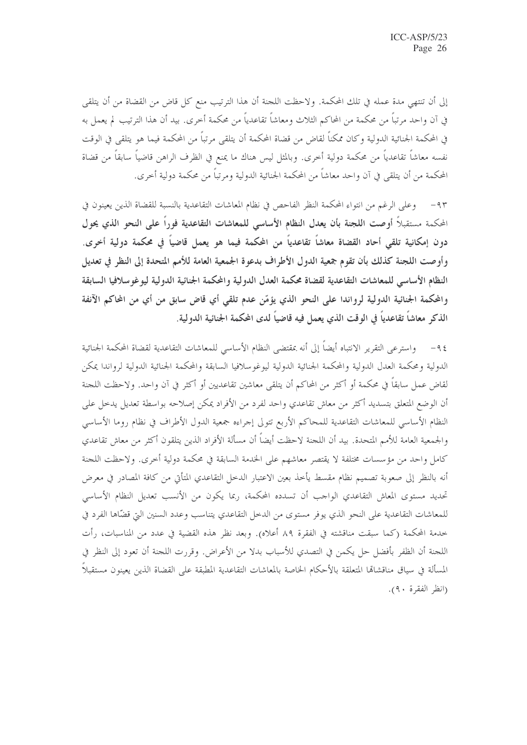إلى أن تنتهي مدة عمله في تلك المحكمة. ولاحظت اللجنة أن هذا الترتيب منع كل قاضٍ من القضاة من أن يتلقى في آن واحد مرتباً من محكمة من المحاكم الثلاث ومعاشاً تقاعدياً من محكمة أخرى. بيد أن هذا الترتيب لم يعمل به في المحكمة الجنائية الدولية وكان ممكناً لقاض من قضاة المحكمة أن يتلقى مرتباً من المحكمة فيما هو يتلقى في الوقت نفسه معاشاً تقاعدياً من محكمة دولية أخرى. وبالمثل ليس هناك ما يمنع في الظرف الراهن قاضياً سابقاً من قضاة المحكمة من أن يتلقى في آن واحد معاشاً من المحكمة الجنائية الدولية ومرتباً من محكمة دولية أخرى.

٩٣- وعلى الرغم من انتواء المحكمة النظر الفاحص في نظام المعاشات التقاعدية بالنسبة للقضاة الذين يعينون في المحكمة مستقبلاً أوصت اللجنة بأن يعدل النظام الأساسي للمعاشات التقاعدية فوراً على النحو الذي يحول دون إمكانية تلقى أحاد القضاة معاشاً تقاعدياً من المحكمة فيما هو يعمل قاضياً في محكمة دولية أخرى. وأوصت اللجنة كذلك بأن تقوم جمعية الدول الأطراف بدعوة الجمعية العامة للأمم المتحدة إلى النظر في تعديل النظام الأساسي للمعاشات التقاعدية لقضاة محكمة العدل الدولية والمحكمة الجنائية الدولية ليوغوسلافيا السابقة والمحكمة الجنائية الدولية لرواندا على النحو الذي يؤمّن عدم تلقى أي قاض سابق من أي من المحاكم الآنفة الذكر معاشاً تقاعدياً في الوقت الذي يعمل فيه قاضياً لدى المحكمة الجنائية الدولية.

٩٤– واسترعى التقرير الانتباه أيضاً إلى أنه بمقتضى النظام الأساسى للمعاشات التقاعدية لقضاة المحكمة الجنائية الدولية ومحكمة العدل الدولية والمحكمة الجنائية الدولية ليوغوسلافيا السابقة والمحكمة الجنائية الدولية لرواندا يمكن لقاض عمل سابقاً في محكمة أو أكثر من المحاكم أن يتلقى معاشين تقاعديين أو أكثر في آن واحد. ولاحظت اللجنة أن الوضع المتعلق بتسديد أكثر من معاش تقاعدي واحد لفرد من الأفراد يمكن إصلاحه بواسطة تعديل يدخل على النظام الأساسي للمعاشات التقاعدية للمحاكم الأربع تتولى إجراءه جمعية الدول الأطراف في نظام روما الأساسي والجمعية العامة للأمم المتحدة. بيد أن اللجنة لاحظت أيضاً أن مسألة الأفراد الذين يتلقون أكثر من معاش تقاعدي كامل واحد من مؤسسات مختلفة لا يقتصر معاشهم على الخدمة السابقة في محكمة دولية أخرى. ولاحظت اللجنة أنه بالنظر إلى صعوبة تصميم نظام مقسط يأخذ بعين الاعتبار الدحل التقاعدي المتأتي من كافة المصادر في معرض تحديد مستوى المعاش التقاعدي الواجب أن تسدده المحكمة، ربما يكون من الأنسب تعديل النظام الأساسي للمعاشات التقاعدية على النحو الذي يوفر مستوى من الدحل التقاعدي يتناسب وعدد السنين التي قضّاها الفرد في خدمة المحكمة (كما سبقت مناقشته في الفقرة ٨٩ أعلاه). وبعد نظر هذه القضية في عدد من المناسبات، رأت اللجنة أن الظفر بأفضل حل يكمن في التصدي للأسباب بدلا من الأعراض. وقررت اللجنة أن تعود إلى النظر في المسألة في سياق مناقشاها المتعلقة بالأحكام الخاصة بالمعاشات التقاعدية المطبقة على القضاة الذين يعينون مستقبلاً (انظر الفقرة ٩٠).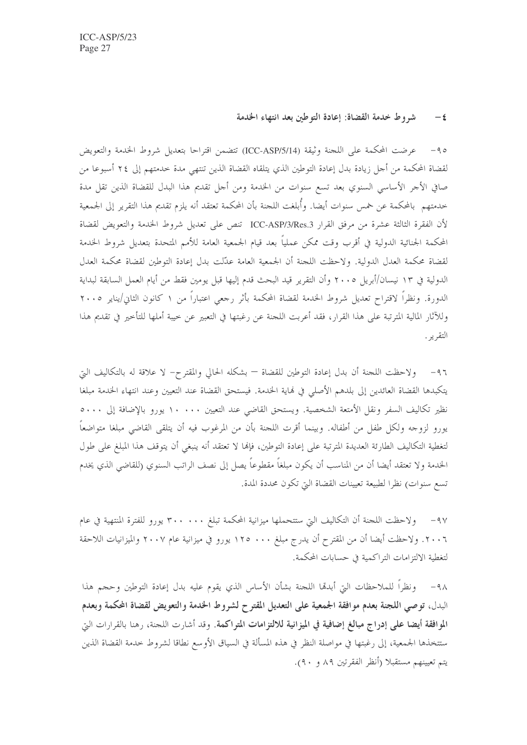### شروط خدمة القضاة: إعادة التوطين بعد انتهاء الخدمة  $-\epsilon$

عرضت المحكمة على اللجنة وثيقة (ICC-ASP/5/14) تتضمن اقتراحا بتعديل شروط الخدمة والتعويض  $-90$ لقضاة المحكمة من أحل زيادة بدل إعادة التوطين الذي يتلقاه القضاة الذين تنتهى مدة حدمتهم إلى ٢٤ أسبوعا من صافي الأجر الأساسي السنوي بعد تسع سنوات من الخدمة ومن أجل تقديم هذا البدل للقضاة الذين تقل مدة حدمتهم بالمحكمة عن خمس سنوات أيضا. وأُبلغت اللجنة بأن المحكمة تعتقد أنه يلزم تقديم هذا التقرير إلى الجمعية لأن الفقرة الثالثة عشرة من مرفق القرار ICC-ASP/3/Res.3 تنص على تعديل شروط الخدمة والتعويض لقضاة المحكمة الجنائية الدولية في أقرب وقت ممكن عملياً بعد قيام الجمعية العامة للأمم المتحدة بتعديل شروط الخدمة لقضاة محكمة العدل الدولية. ولاحظت اللجنة أن الجمعية العامة عدّلت بدل إعادة التوطين لقضاة محكمة العدل الدولية في ١٣ نيسان/أبريل ٢٠٠٥ وأن التقرير قيد البحث قدم إليها قبل يومين فقط من أيام العمل السابقة لبداية الدورة. ونظراً لاقتراح تعديل شروط الخدمة لقضاة المحكمة بأثر رحعى اعتباراً من ١ كانون الثاني/يناير ٢٠٠٥ وللآثار المالية المترتبة على هذا القرار، فقد أعربت اللجنة عن رغبتها في التعبير عن حيبة أملها للتأخير في تقديم هذا التقرير .

٩٦– ولاحظت اللحنة أن بدل إعادة التوطين للقضاة — بشكله الحالي والمقتر ح– لا علاقة له بالتكاليف التي يتكبدها القضاة العائدين إلى بلدهم الأصلي في نماية الخدمة. فيستحق القضاة عند التعيين وعند انتهاء الخدمة مبلغا نظير تكاليف السفر ونقل الأمتعة الشخصية. ويستحق القاضي عند التعيين ١٠٠٠٠ يورو بالإضافة إلى ٥٠٠٠ يورو لزوجه ولكل طفل من أطفاله. وبينما أقرت اللجنة بأن من المرغوب فيه أن يتلقى القاضي مبلغا متواضعاً لتغطية التكاليف الطارئة العديدة المترتبة على إعادة التوطين، فإلها لا تعتقد أنه ينبغي أن يتوقف هذا المبلغ على طول الخدمة ولا تعتقد أيضا أن من المناسب أن يكون مبلغاً مقطوعاً يصل إلى نصف الراتب السنوي (للقاضي الذي يخدم تسع سنوات) نظرا لطبيعة تعيينات القضاة التي تكون محددة المدة.

٩٧– ولاحظت اللجنة أن التكاليف التي ستتحملها ميزانية المحكمة تبلغ ٣٠٠ . ٣٠٠ يورو للفترة المنتهية في عام ٢٠٠٦. ولاحظت أيضا أن من المقترح أن يدرج مبلغ ١٢٥ . ١٢٥ يورو في ميزانية عام ٢٠٠٧ والميزانيات اللاحقة لتغطية الالتزامات التراكمية في حسابات المحكمة.

ونظراً للملاحظات التي أبدهّا اللجنة بشأن الأساس الذي يقوم عليه بدل إعادة التوطين وحجم هذا  $-9<sub>A</sub>$ البدل، توصى اللجنة بعدم موافقة الجمعية على التعديل المقترح لشروط الخدمة والتعويض لقضاة المحكمة وبعدم الموافقة أيضا على إدراج مبالغ إضافية في الميزانية للالتزامات المتراكمة. وقد أشارت اللحنة، رهنا بالقرارات التي ستتخذها الجمعية، إلى رغبتها في مواصلة النظر في هذه المسألة في السياق الأوسع نطاقا لشروط حدمة القضاة الذين يتم تعيينهم مستقبلاً (أنظر الفقرتين ٨٩ و ٩٠).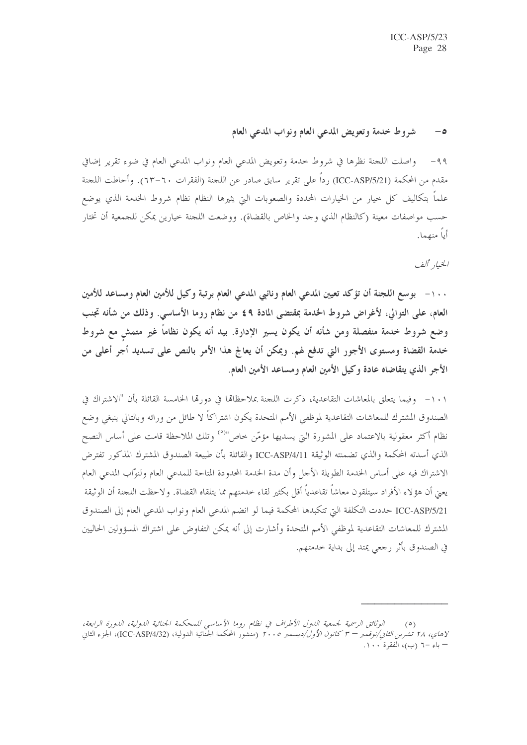شروط خدمة وتعويض المدعى العام ونواب المدعى العام  $-\circ$ 

٩٩- واصلت اللجنة نظرها في شروط حدمة وتعويض المدعى العام ونواب المدعى العام في ضوء تقرير إضافي مقدم من المحكمة (ICC-ASP/5/21) رداً على تقرير سابق صادر عن اللجنة (الفقرات ٦٠–٦٣). وأحاطت اللجنة علماً بتكاليف كل خيار من الخيارات المحددة والصعوبات التي يثيرها النظام نظام شروط الحدمة الذي يوضع حسب مواصفات معينة (كالنظام الذي وحد والخاص بالقضاة). ووضعت اللحنة خيارين يمكن للحمعية أن تختار أباً منهما.

الخيار ألف

١٠٠ – بوسع اللجنة أن تؤكد تعيين المدعى العام ونائبي المدعى العام برتبة وكيل للأمين العام ومساعد للأمين العام، على التوالي، ﻷغراض شروط الخدمة بمقتضى المادة ٤٩ من نظام روما اﻷساسى. وذلك من شأنه تجنب وضع شروط خدمة منفصلة ومن شأنه أن يكون يسير الإدارة. بيد أنه يكون نظاماً غير متمش مع شروط خدمة القضاة ومستوى الأجور التي تدفع لهم. ويمكن أن يعالج هذا الأمر بالنص على تسديد أجر أعلى من الأجر الذي يتقاضاه عادة وكيل الأمين العام ومساعد الأمين العام.

١٠١- وفيما يتعلق بالمعاشات التقاعدية، ذكرت اللحنة بملاحظاها في دورها الخامسة القائلة بأن "الاشتراك في الصندوق المشترك للمعاشات التقاعدية لموظفي الأمم المتحدة يكون اشتراكاً لا طائل من ورائه وبالتالي ينبغي وضع نظام أكثر معقولية بالاعتماد على المشورة التي يسديها مؤمّن خاص"<sup>(٥)</sup> وتلك الملاحظة قامت على أساس النصح الذي أسدته المحكمة والذي تضمنته الوثيقة ICC-ASP/4/11 والقائلة بأن طبيعة الصندوق المشترك المذكور تفترض الاشتراك فيه على أساس الخدمة الطويلة الأجل وأن مدة الخدمة المحدودة المتاحة للمدعى العام ولنوّاب المدعى العام يعني أن هؤ لاء الأفراد سيتلقون معاشاً تقاعدياً أقل بكثير لقاء حدمتهم مما يتلقاه القضاة. و لاحظت اللجنة أن الوثيقة ICC-ASP/5/21 حددت التكلفة التي تتكبدها المحكمة فيما لو انضم المدعى العام ونواب المدعى العام إلى الصندوق المشترك للمعاشات التقاعدية لموظفي الأمم المتحدة وأشارت إلى أنه يمكن التفاوض على اشتراك المسؤولين الحاليين في الصندوق بأثر رجعي يمتد إلى بداية خدمتهم.

الوثائق الرسمية لجمعية اللول الأطراف في نظام روما الأساسي للمحكمة الجنائية اللولية، اللورة الرابعة،  $(°)$ لا*هاي، ٢٨ تُشرين الثاني/نوفمبر – ٣ كانون الأول/ديسمبر ٢٠٠*٠ (منشور المحكمة الجنّائية الدولية، (ICC-ASP/4/32)، الجزء الثاني – باء –٦ (ب)، الفقرة ١٠٠.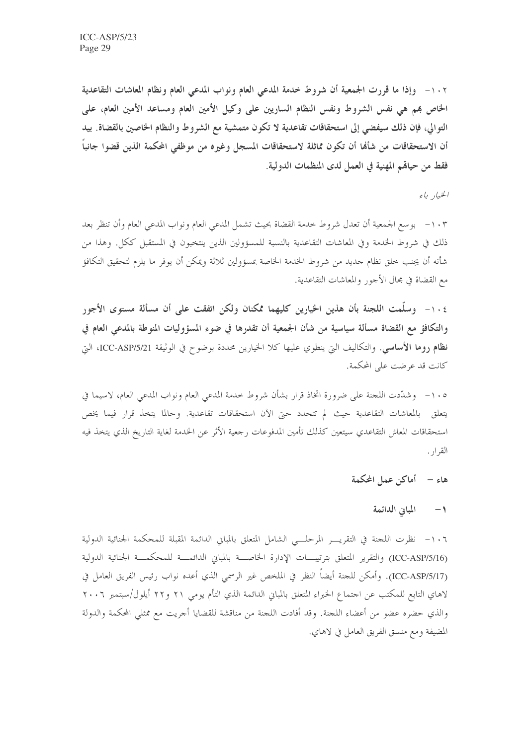١٠٢ - وإذا ما قررت الجمعية أن شروط خدمة المدعى العام ونواب المدعى العام ونظام المعاشات التقاعدية الخاص بهم هي نفس الشروط ونفس النظام الساريين على وكيل الأمين العام ومساعد الأمين العام، على التوالي، فإن ذلك سيفضى إلى استحقاقات تقاعدية لا تكون متمشية مع الشروط والنظام الخاصين بالقضاة. بيد أن الاستحقاقات من شأها أن تكون مماثلة لاستحقاقات المسجل وغيره من موظفي المحكمة الذين قضوا جانباً فقط من حياهم المهنية في العمل لدى المنظمات الدولية.

الخيار باء

١٠٣ – بوسع الجمعية أن تعدل شروط حدمة القضاة بحيث تشمل المدعى العام ونواب المدعى العام وأن تنظر بعد ذلك في شروط الخدمة وفي المعاشات التقاعدية بالنسبة للمسؤولين الذين ينتخبون في المستقبل ككل. وهذا من شأنه أن يجنب خلق نظام جديد من شروط الخدمة الخاصة بمسؤولين ثلاثة ويمكن أن يوفر ما يلزم لتحقيق التكافؤ مع القضاة في مجال الأجور والمعاشات التقاعدية.

١٠٤- وسلَّمت اللجنة بأن هذين الخيارين كليهما ممكنان ولكن اتفقت على أن مسألة مستوى الأجور والتكافؤ مع القضاة مسألة سياسية من شأن الجمعية أن تقدرها في ضوء المسؤوليات المنوطة بالمدعى العام في **نظام روما الأساسي**. والتكاليف التي ينطوي عليها كلا الخيارين محددة بوضوح في الوثيقة ICC-ASP/5/21، التي كانت قد عرضت على المحكمة.

١٠٥- وشدَّدت اللجنة على ضرورة اتخاذ قرار بشأن شروط خدمة المدعى العام ونواب المدعى العام، لاسيما في يتعلق بالمعاشات التقاعدية حيث لم تتحدد حتى الآن استحقاقات تقاعدية. وحالما يتخذ قرار فيما يخص استحقاقات المعاش التقاعدي سيتعين كذلك تأمين المدفوعات رجعية الأثر عن الخدمة لغاية التاريخ الذي يتخذ فيه القرار .

## هاء – أماكن عمل المحكمة

### المبانى الدائمة  $\rightarrow$

١٠٦- نظرت اللجنة في التقريـــر المرحلـــي الشامل المتعلق بالمباين الدائمة المقبلة للمحكمة الجنائية الدولية (ICC-ASP/5/16) والتقرير المتعلق بترتيبـــات الإدارة الخاصـــة بالمباين الدائمـــة للمحكمـــة الجنائية الدولية (ICC-ASP/5/17). وأمكن للجنة أيضاً النظر في الملخص غير الرسمي الذي أعده نواب رئيس الفريق العامل في لاهاي التابع للمكتب عن احتماع الخبراء المتعلق بالمباين الدائمة الذي التأم يومي ٢١ و٢٢ أيلول/سبتمبر ٢٠٠٦ والذي حضره عضوٍ من أعضاء اللجنة. وقد أفادت اللجنة من مناقشة للقضايا أجريت مع ممثلي المحكمة والدولة المضيفة ومع منسق الفريق العامل في لاهاي.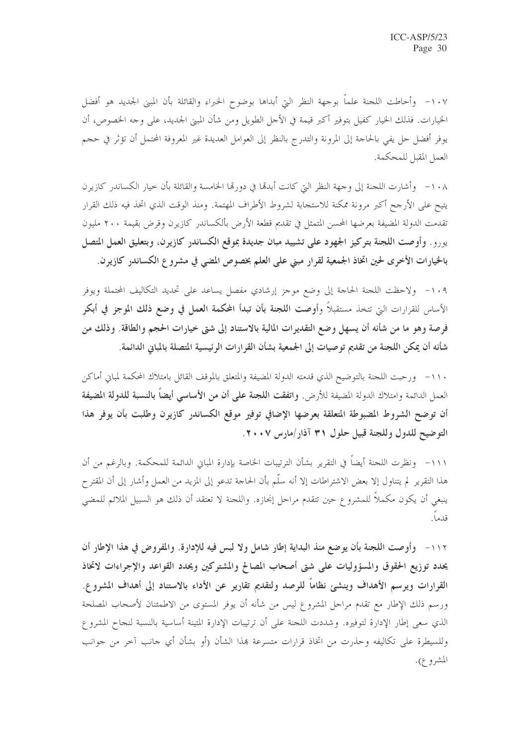١٠٧- وأحاطت اللحنة علماً بوحهة النظر التي أبداها بوضوح الخبراء والقائلة بأن المبنى الجديد هو أفضل الخيارات. فذلك الخيار كفيل بتوفير أكبر قيمة في الأجل الطويل ومن شأن المبين الجديد، على وجه الخصوص، أن يوفر أفضل حل يفي بالحاحة إلى المرونة والتدرج بالنظر إلى العوامل العديدة غير المعروفة المحتمل أن تؤثر في حجم العمل المقبل للمحكمة.

١٠٨ – وأشارت اللجنة إلى وجهة النظر التي كانت أبدهّا في دورهّا الخامسة والقائلة بأن خيار الكساندر كازيرن يتيح على الأرجح أكبر مرونة ممكنة للاستجابة لشروط الأطراف المهتمة. ومنذ الوقت الذي اتخذ فيه ذلك القرار تقدمت الدولة المضيفة بعرضها المحسن المتمثل في تقديم قطعة الأرض بألكساندر كازيرن وقرض بقيمة ٢٠٠ مليون يورو . وأوصت اللجنة بتوكيز الجهود على تشييد مبان جديدة بموقع الكساندر كازيرن، وبتعليق العمل المتصل بالخيارات الأخرى لحين اتخاذ الجمعية لقرار مبنى على العلم بخصوص المضي في مشروع الكساندر كازيرن.

١٠٩- ولاحظت اللجنة الحاجة إلى وضع موجز إرشادي مفصل يساعد على تحديد التكاليف المحتملة ويوفر الأساس للقرارات التي تتخذ مستقبلاً وأوصت اللجنة بأن تبدأ المحكمة العمل في وضع ذلك الموجز في أبكر فرصة وهو ما من شأنه أن يسهل وضع التقديرات المالية بالاستناد إلى شتى خيارات الحجم والطاقة. وذلك من شأنه أن يمكن اللجنة من تقديم توصيات إلى الجمعية بشأن القرارات الرئيسية المتصلة بالمبانى الدائمة.

١١٠- ورحبت اللجنة بالتوضيح الذي قدمته الدولة المضيفة والمتعلق بالموقف القائل بامتلاك المحكمة لمباين أماكن العمل الدائمة وامتلاك الدولة المضيفة للأرض. واتفقت اللجنة على أن من الأساسي أيضاً بالنسبة للدولة المضيفة أن توضح الشروط المضبوطة المتعلقة بعرضها الإضافي توفير موقع الكساندر كازيرن وطلبت بأن يوفر هذا التوضيح للدول وللجنة قبيل حلول ٣١ آذار/مارس ٢٠٠٧.

١١١– ونظرت اللحنة أيضاً في التقرير بشأن الترتيبات الخاصة بإدارة المباني الدائمة للمحكمة. وبالرغم من أن هذا التقرير لم يتناول إلا بعض الاشتراطات إلا أنه سلَّم بأن الحاجة تدعو إلى المزيد من العمل وأشار إلى أن المقترح ينبغي أن يكون مكملاً للمشروع حين تتقدم مراحل إنجازه. واللجنة لا تعتقد أن ذلك هو السبيل الملائم للمضى قدماً.

١١٢- وأوصت اللجنة بأن يوضع منذ البداية إطار شامل ولا لبس فيه للإدارة. والمفروض في هذا الإطار أن يحدد توزيع الحقوق والمسؤوليات على شتى أصحاب المصالح والمشتركين ويحدد القواعد والإجراءات لاتخاذ القرارات ويرسم الأهداف وينشئ نظاماً للرصد ولتقديم تقارير عن الأداء بالاستناد إلى أهداف المشروع. ورسم ذلك الإطار مع تقدم مراحل المشروع ليس من شأنه أن يوفر المستوى من الاطمئنان لأصحاب المصلحة الذي سعى إطار الإدارة لتوفيره. وشددت اللجنة على أن ترتيبات الإدارة المتينة أساسية بالنسبة لنجاح المشروع وللسيطرة على تكاليفه وحذرت من اتخاذ قرارات متسرعة بمذا الشأن (أو بشأن أي حانب آخر من حوانب المشرو ع).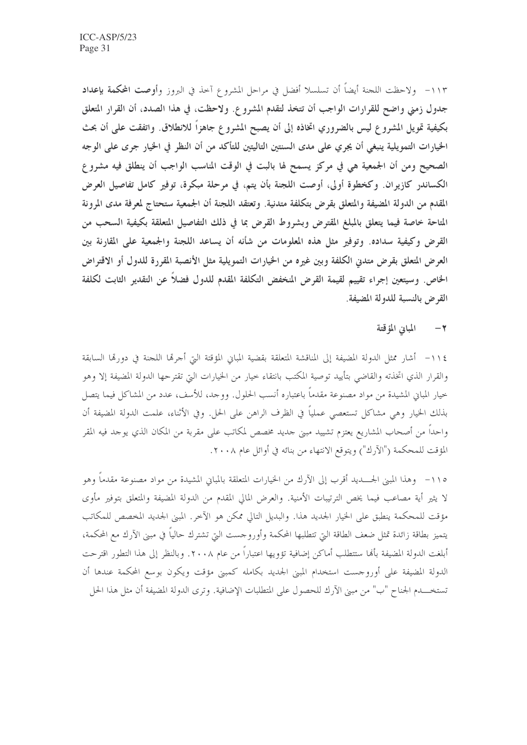١١٣- ولاحظت اللجنة أيضاً أن تسلسلا أفضل في مراحل المشروع آخذ في البروز وأوصت المحكمة بإعداد جدول زمني واضح للقرارات الواجب أن تتخذ لتقدم المشروع. ولاحظت، في هذا الصدد، أن القرار المتعلق بكيفية تمويل المشروع ليس بالضروري اتخاذه إلى أن يصبح المشروع جاهزاً للانطلاق. واتفقت على أن بحث الخيارات التمويلية ينبغي أن يجري على مدى السنتين التاليتين للتأكد من أن النظر في الخيار جرى على الوجه الصحيح ومن أن الجمعية هي في مركز يسمح لها بالبت في الوقت المناسب الواجب أن ينطلق فيه مشروع الكساندر كازيران. وكخطوة أولى، أوصت اللجنة بأن يتم، في مرحلة مبكرة، توفير كامل تفاصيل العرض المقدم من الدولة المضيفة والمتعلق بقرض بتكلفة متدنية. وتعتقد اللجنة أن الجمعية ستحتاج لمعرفة مدى المرونة المتاحة خاصة فيما يتعلق بالمبلغ المقترض وبشروط القرض بما في ذلك التفاصيل المتعلقة بكيفية السحب من القرض وكيفية سداده. وتوفير مثل هذه المعلومات من شأنه أن يساعد اللجنة والجمعية على المقارنة بين العرض المتعلق بقرض متدبى الكلفة وبين غيره من الخيارات التمويلية مثل الأنصبة المقررة للدول أو الاقتراض الخاص. وسيتعين إجراء تقييم لقيمة القرض المنخفض التكلفة المقدم للدول فضلاً عن التقدير الثابت لكلفة القرض بالنسبة للدولة المضيفة.

## ٢ – المباين المؤقتة

١١٤- أشار ممثل الدولة المضيفة إلى المناقشة المتعلقة بقضية المباين المؤقتة التي أجرها اللجنة في دورها السابقة والقرار الذي اتخذته والقاضي بتأييد توصية المكتب بانتقاء حيار من الخيارات التي تقترحها الدولة المضيفة إلا وهو خيار المباني المشيدة من مواد مصنوعة مقدماً باعتباره أنسب الحلول. ووجد، للأسف، عدد من المشاكل فيما يتصل بذلك الخيار وهي مشاكل تستعصي عملياً في الظرف الراهن على الحل. وفي الأثناء، علمت الدولة المضيفة أن واحداً من أصحاب المشاريع يعتزم تشييد مبني جديد مخصص لمكاتب على مقربة من المكان الذي يوجد فيه المقر المؤقت للمحكمة ("الآرك") ويتوقع الانتهاء من بنائه في أوائل عام ٢٠٠٨.

١١٥- وهذا المبني الجـــــديد أقرب إلى الآرك من الخيارات المتعلقة بالمباني المشيدة من مواد مصنوعة مقدماً وهو لا يثير أية مصاعب فيما يخص الترتيبات الأمنية. والعرض المالي المقدم من الدولة المضيفة والمتعلق بتوفير مأوى مؤقت للمحكمة ينطبق على الخيار الجديد هذا. والبديل التالي ممكن هو الآخر. المبنى الجديد المخصص للمكاتب يتميز بطاقة زائدة تمثل ضعف الطاقة التي تتطلبها المحكمة وأوروحست التي تشترك حالياً في مبنى الآرك مع المحكمة، أبلغت الدولة المضيفة بألها ستتطلب أماكن إضافية تؤويها اعتباراً من عام ٢٠٠٨. وبالنظر إلى هذا التطور اقترحت الدولة المضيفة على أوروجست استخدام المبنى الجديد بكامله كمبين مؤقت ويكون بوسع المحكمة عندها أن تستخـــــدم الجناح "ب" من مبني الآرك للحصول على المتطلبات الإضافية. وترى الدولة المضيفة أن مثل هذا الحل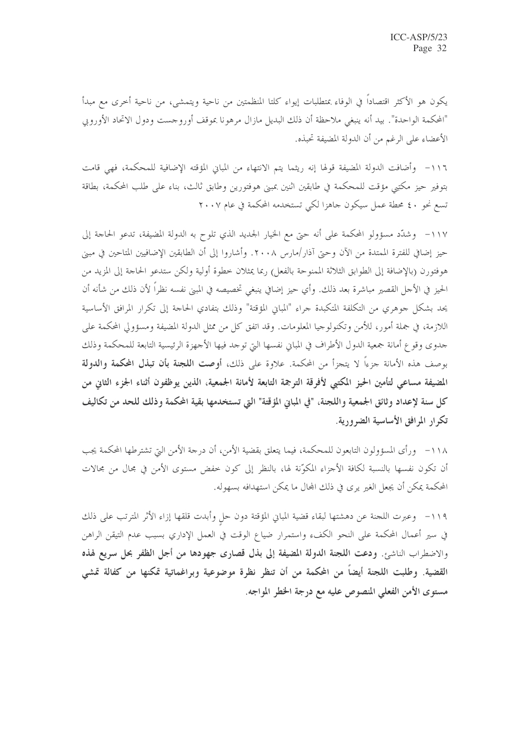يكون هو الأكثر اقتصاداً في الوفاء بمتطلبات إيواء كلتا المنظمتين من ناحية ويتمشى، من ناحية أخرى مع مبدأ "المحكمة الواحدة". بيد أنه ينبغي ملاحظة أن ذلك البديل مازال مرهونا بموقف أوروجست ودول الاتحاد الأوروبي الأعضاء على الرغم من أن الدولة المضيفة تحبذه.

١١٦- وأضافت الدولة المضيفة قولها إنه ريثما يتم الانتهاء من المباني المؤقته الإضافية للمحكمة، فهي قامت بتوفير حيز مكتبي مؤقت للمحكمة في طابقين اثنين بمبنى هوفتورين وطابق ثالث، بناء على طلب المحكمة، بطاقة تسع نحو ٤٠ محطة عمل سيكون جاهزا لكي تستخدمه المحكمة في عام ٢٠٠٧

١١٧- وشدَّد مسؤولو المحكمة على أنه حتى مع الخيار الجديد الذي تلوح به الدولة المضيفة، تدعو الحاجة إلى حيز إضافي للفترة الممتدة من الآن وحتى آذار/مارس ٢٠٠٨. وأشاروا إلى أن الطابقين الإضافيين المتاحين في مبنى هوفتورن (بالإضافة إلى الطوابق الثلاثة الممنوحة بالفعل) ربما يمثلان خطوة أولية ولكن ستدعو الحاحة إلى المزيد من الحيز في الأحل القصير مباشرة بعد ذلك. وأي حيز إضافي ينبغي تخصيصه في المبنى نفسه نظراً لأن ذلك من شأنه أن يحد بشكل جوهري من التكلفة المتكبدة جراء "المباين المؤقتة" وذلك بتفادي الحاجة إلى تكرار المرافق الأساسية اللازمة، في جملة أمور، للأمن وتكنولوجيا المعلومات. وقد اتفق كل من ممثل الدولة المضيفة ومسؤولي المحكمة على جدوى وقوع أمانة جمعية الدول الأطراف في المباني نفسها التي توجد فيها الأجهزة الرئيسية التابعة للمحكمة وذلك بوصف هذه الأمانة جزءاً لا يتجزأ من المحكمة. علاوة على ذلك، أوصت ا**للجنة بأن تبذل المحكمة والدولة** المضيفة مساعى لتأمين الحيز المكتبي لأفرقة الترجمة التابعة لأمانة الجمعية، الذين يوظفون أثناء الجزء الثاني من كل سنة لإعداد وثائق الجمعية واللجنة، "في المباين المؤقتة" التي تستخدمها بقية المحكمة وذلك للحد من تكاليف تكرار المرافق الأساسية الضرورية.

١١٨ – ورأى المسؤولون التابعون للمحكمة، فيما يتعلق بقضية الأمن، أن درجة الأمن التي تشترطها المحكمة يجب أن تكون نفسها بالنسبة لكافة الأجزاء المكوِّنة لها، بالنظر إلى كون خفض مستوى الأمن في مجال من مجالات المحكمة يمكن أن يجعل الغير يرى في ذلك المحال ما يمكن استهدافه بسهوله.

١١٩– وعبرت اللجنة عن دهشتها لبقاء قضية المباني المؤقتة دون حل وأبدت قلقها إزاء الأثر المترتب على ذلك في سير أعمال المحكمة على النحو الكفء واستمرار ضياع الوقت في العمل الإداري بسبب عدم التيقن الراهن والاضطراب الناشئ. ودعت اللجنة الدولة المضيفة إلى بذل قصارى جهودها من أجل الظفر بحل سريع لهذه القضية. وطلبت اللجنة أيضاً من المحكمة من أن تنظر نظرة موضوعية وبراغماتية تمكنها من كفالة تمشي مستوى الأمن الفعلى المنصوص عليه مع درجة الخطر المواجه.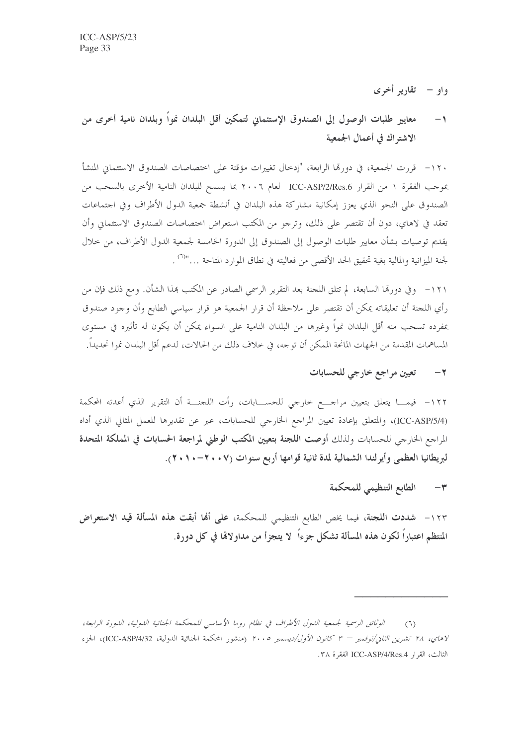واو – تقاریر أخری

معايير طلبات الوصول إلى الصندوق الإستئماني لتمكين أقل البلدان نمواً وبلدان نامية أخرى من  $-1$ الاشتراك في أعمال الجمعية

١٢٠- قررت الجمعية، في دورهّا الرابعة، "إدخال تغييرات مؤقتة على اختصاصات الصندوق الاستئماني المنشأ بموجب الفقرة ١ من القرار ICC-ASP/2/Res.6 لعام ٢٠٠٦ بما يسمح للبلدان النامية الأخرى بالسحب من الصندوق على النحو الذي يعزز إمكانية مشاركة هذه البلدان في أنشطة جمعية الدول الأطراف وفي اجتماعات تعقد في لاهاي، دون أن تقتصر على ذلك، وترجو من المكتب استعراض اختصاصات الصندوق الاستئماني وأن يقديم توصيات بشأن معايير طلبات الوصول إلى الصندوق إلى الدورة الخامسة لجمعية الدول الأطراف، من حلال لجنة الميزانية والمالية بغية تحقيق الحد الأقصى من فعاليته في نطاق الموارد المتاحة …"(٦) .

١٢١– وفي دورتما السابعة، لم تتلق اللجنة بعد التقرير الرسمي الصادر عن المكتب بمذا الشأن. ومع ذلك فإن من رأي اللجنة أن تعليقاته يمكن أن تقتصر على ملاحظة أن قرار الجمعية هو قرار سياسي الطابع وأن وجود صندوق بمفرده تسحب منه أقل البلدان نمواً وغيرها من البلدان النامية على السواء يمكن أن يكون له تأثيره في مستوى المساهمات المقدمة من الجهات المانحة الممكن أن توجه، في خلاف ذلك من الحالات، لدعم أقل البلدان نموا تحديداً.

### تعيين مراجع خارجي للحسابات  $-7$

١٢٢– فيمــــا يتعلق بتعيين مراجــــع خارجي للحســـــابات، رأت اللجنــــة أن التقرير الذي أعدته المحكمة (ICC-ASP/5/4)، والمتعلق بإعادة تعيين المراجع الخارجي للحسابات، عبر عن تقديرها للعمل المثالي الذي أداه المراجع الخارجي للحسابات ولذلك أوصت اللجنة بتعيين المكتب الوطني لمراجعة الحسابات في المملكة المتحدة لبريطانيا العظمى وأيرلندا الشمالية لمدة ثانية قوامها أربع سنوات (٢٠٠٧-٢٠١٠).

### الطابع التنظيمي للمحكمة  $-\tau$

١٢٣ – شددت اللجنة، فيما يخص الطابع التنظيمي للمحكمة، على ألها أبقت هذه المسألة قيد الاستعراض المنتظم اعتباراً لكون هذه المسألة تشكل جزءاً لا يتجزأ من مداولاتما في كل دورة.

الوثائق الرسمية لجمعية اللهول الأطراف في نظام روما الأساسي للمحكمة الجنائية اللهولية، اللهورة الرابعة،  $(7)$ لاهاي، ٢٨ تشرين الثاني/نوفمبر – ٣ كانون الأول/ديسمبر ٢٠٠٥ (منشور المحكمة الجنائية الدولية، ICC-ASP/4/32)، الجزء الثالث، القرار ICC-ASP/4/Res.4 الفقرة ٣٨.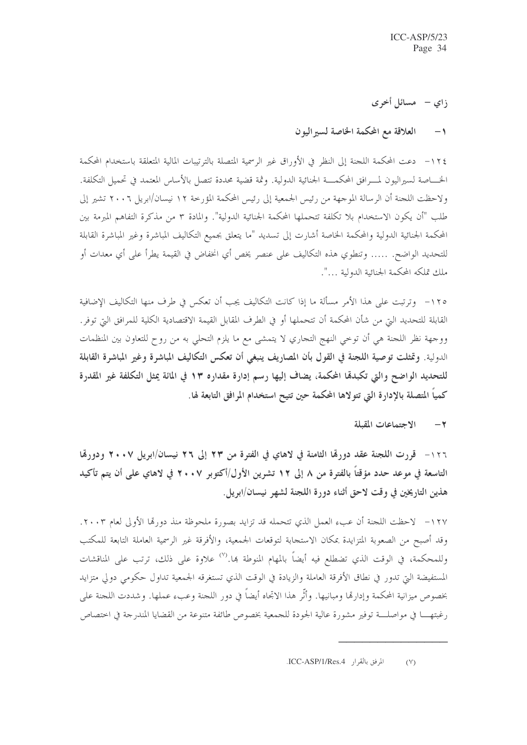زاي – مسائل أخرى

### العلاقة مع المحكمة الخاصة لسير اليون  $\rightarrow$

١٢٤ – دعت المحكمة اللجنة إلى النظر في الأوراق غير الرسمية المتصلة بالترتيبات المالية المتعلقة باستخدام المحكمة الخــــاصة لسيراليون لمــــرافق المحكمــــة الجنائية الدولية. وثمة قضية محددة تتصل بالأساس المعتمد في تحميل التكلفة. ولاحظت اللجنة أن الرسالة الموجهة من رئيس الجمعية إلى رئيس المحكمة المؤرخة ١٢ نيسان/ابريل ٢٠٠٦ تشير إلى طلب "أن يكون الاستخدام بلا تكلفة تتحملها المحكمة الجنائية الدولية". والمادة ٣ من مذكرة التفاهم المبرمة بين المحكمة الجنائية الدولية والمحكمة الحاصة أشارت إلى تسديد "ما يتعلق بجميع التكاليف المباشرة وغير المباشرة القابلة للتحديد الواضح. ..... وتنطوي هذه التكاليف على عنصر يخص أي انخفاض في القيمة يطرأ على أي معدات أو ملك تملكه المحكمة الجنائية الدولية …".

١٢٥– وترتبت على هذا الأمر مسألة ما إذا كانت التكاليف يجب أن تعكس في طرف منها التكاليف الإضافية القابلة للتحديد التي من شأن المحكمة أن تتحملها أو في الطرف المقابل القيمة الاقتصادية الكلية للمرافق التي توفر. ووجهة نظر اللجنة هي أن توخي النهج التجاري لا يتمشى مع ما يلزم التحلي به من روح للتعاون بين المنظمات الدولية. وتمثلت توصية اللجنة في القول بأن المصاريف ينبغي أن تعكس التكاليف المباشرة وغير المباشرة القابلة للتحديد الواضح والتي تكبدقا المحكمة، يضاف إليها رسم إدارة مقداره ١٣ في المائة يمثل التكلفة غير المقدرة كمياً المتصلة بالإدارة التي تتولاها المحكمة حين تتيح استخدام المرافق التابعة لها.

#### الاجتماعات المقبلة  $-\tau$

١٢٦- قررت اللجنة عقد دورقما الثامنة في لاهاي في الفترة من ٢٣ إلى ٢٦ نيسان/ابريل ٢٠٠٧ ودورقما التاسعة في موعد حدد مؤقتاً بالفترة من ٨ إلى ١٢ تشرين الأول/أكتوبر ٢٠٠٧ في لاهاي على أن يتم تأكيد هذين التاريخين في وقت لاحق أثناء دورة اللجنة لشهر نيسان/ابريل.

١٢٧ – لاحظت اللجنة أن عبء العمل الذي تتحمله قد تزايد بصورة ملحوظة منذ دورهّا الأولى لعام ٢٠٠٣. وقد أصبح من الصعوبة المتزايدة بمكان الاستجابة لتوقعات الجمعية، والأفرقة غير الرسمية العاملة التابعة للمكتب وللمحكمة، في الوقت الذي تضطلع فيه أيضاً بالمهام المنوطة بما.'`` علاوة على ذلك، ترتب على المناقشات المستفيضة التي تدور في نطاق الأفرقة العاملة والزيادة في الوقت الذي تستغرقه الجمعية تداول حكومي دولي متزايد بخصوص ميزانية المحكمة وإدارها ومبانيها. وأثَّر هذا الاتجاه أيضاً في دور اللجنة وعبء عملها. وشددت اللجنة على رغبتهـــا في مواصلـــة توفير مشورة عالية الجودة للجمعية بخصوص طائفة متنوعة من القضايا المندرجة في اختصاص

المرفق بالقرار ICC-ASP/1/Res.4.  $(V)$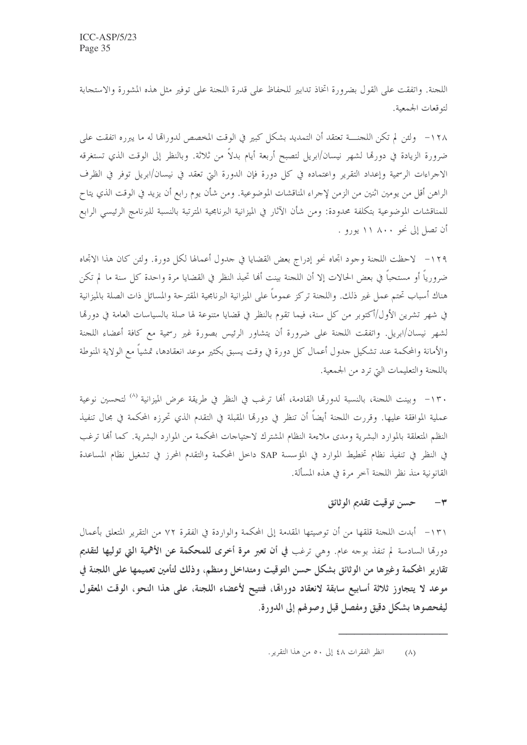اللجنة. واتفقت على القول بضرورة اتخاذ تدابير للحفاظ على قدرة اللجنة على توفير مثل هذه المشورة والاستجابة لتوقعات الجمعية.

١٢٨ - ولئن لم تكن اللجنــــة تعتقد أن التمديد بشكل كبير في الوقت المخصص لدوراقما له ما يبرره اتفقت على ضرورة الزيادة في دورتما لشهر نيسان/ابريل لتصبح أربعة أيام بدلاً من ثلاثة. وبالنظر إلى الوقت الذي تستغرقه الاجراءات الرسمية وإعداد التقرير واعتماده في كل دورة فإن الدورة التي تعقد في نيسان/ابريل توفر في الظرف الراهن أقل من يومين اثنين من الزمن لإجراء المناقشات الموضوعية. ومن شأن يوم رابع أن يزيد في الوقت الذي يتاح للمناقشات الموضوعية بتكلفة محدودة: ومن شأن الآثار في الميزانية البرنامجية المترتبة بالنسبة للبرنامج الرئيسي الرابع أن تصل إلى نحو ٨٠٠ ١١ يورو .

١٢٩ – لاحظت اللجنة وجود اتجاه نحو إدراج بعض القضايا في حدول أعمالها لكل دورة. ولئن كان هذا الاتجاه ضرورياً أو مستحباً في بعض الحالات إلا أن اللجنة بينت ألها تحبذ النظر في القضايا مرة واحدة كل سنة ما لم تكن هناك أسباب تحتم عمل غير ذلك. واللجنة تركز عموماً على الميزانية البرنامجية المقترحة والمسائل ذات الصلة بالميزانية في شهر تشرين الأول/أكتوبر من كل سنة، فيما تقوم بالنظر في قضايا متنوعة لها صلة بالسياسات العامة في دورتما لشهر نيسان/ابريل. واتفقت اللجنة على ضرورة أن يتشاور الرئيس بصورة غير رسمية مع كافة أعضاء اللجنة والأمانة والمحكمة عند تشكيل حدول أعمال كل دورة في وقت يسبق بكثير موعد انعقادها، تمشياً مع الولاية المنوطة باللجنة والتعليمات التي ترد من الجمعية.

١٣٠- وبينت اللجنة، بالنسبة لدورهّا القادمة، أَها ترغب في النظر في طريقة عرض الميزانية <sup>(٨)</sup> لتحسين نوعية عملية الموافقة عليها. وقررت اللجنة أيضا أن تنظر في دورقما المقبلة في التقدم الذي تحرزه المحكمة في محال تنفيذ النظم المتعلقة بالموارد البشرية ومدى ملاءمة النظام المشترك لاحتياحات المحكمة من الموارد البشرية. كما ألها ترغب في النظر في تنفيذ نظام تخطيط الموارد في المؤسسة SAP داخل المحكمة والتقدم المحرز في تشغيل نظام المساعدة القانونية منذ نظر اللجنة آخر مرة في هذه المسألة.

### حسن توقيت تقديم الو ثائق  $-1$

١٣١ – أبدت اللجنة قلقها من أن توصيتها المقدمة إلى المحكمة والواردة في الفقرة ٧٢ من التقرير المتعلق بأعمال دورقما السادسة لم تنفذ بوحه عام. وهي ترغب في أن تعبر مرة أخرى للمحكمة عن الأهمية التي توليها لتقديم تقارير المحكمة وغيرها من الوثائق بشكل حسن التوقيت ومتداخل ومنظم، وذلك لتأمين تعميمها على اللجنة في موعد لا يتجاوز ثلاثة أسابيع سابقة لانعقاد دورالها، فتتيح لأعضاء اللجنة، على هذا النحو، الوقت المعقول ليفحصوها بشكل دقيق ومفصل قبل وصولهم إلى الدورة.

انظر الفقرات ٤٨ إلى ٥٠ من هذا التقرير.  $(\wedge)$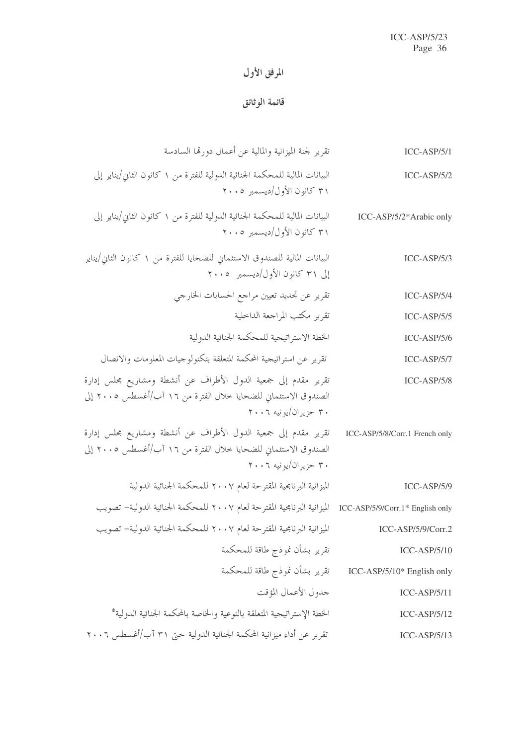## المرفق الأول

## قائمة الوثائق

| $ICC-ASP/5/1$                  | تقرير لجنة الميزانية والمالية عن أعمال دورقما السادسة                                                                                                    |
|--------------------------------|----------------------------------------------------------------------------------------------------------------------------------------------------------|
| $ICC-ASP/5/2$                  | البيانات المالية للمحكمة الجنائية الدولية للفترة من ١ كانون الثاني/يناير إلى<br>۳۱ كانون الأول/ديسمبر ۲۰۰۵                                               |
| ICC-ASP/5/2*Arabic only        | البيانات المالية للمحكمة الجنائية الدولية للفترة من ١ كانون الثاني/يناير إلى<br>۳۱ كانون الأول/ديسمبر ۲۰۰۵                                               |
| $ICC-ASP/5/3$                  | البيانات المالية للصندوق الاستئماني للضحايا للفترة من ١ كانون الثاني/يناير<br>إلى ٣١ كانون الأول/ديسمبر ٢٠٠٥                                             |
| $ICC-ASP/5/4$                  | تقرير عن تجديد تعيين مراجع الحسابات الخارجي                                                                                                              |
| $ICC-ASP/5/5$                  | تقرير مكتب المراجعة الداخلية                                                                                                                             |
| $ICC-ASP/5/6$                  | الخطة الاستراتيجية للمحكمة الجنائية الدولية                                                                                                              |
| $ICC-ASP/5/7$                  | تقرير عن استراتيجية المحكمة المتعلقة بتكنولوجيات المعلومات والاتصال                                                                                      |
| $ICC-ASP/5/8$                  | تقرير مقدم إلى جمعية الدول الأطراف عن أنشطة ومشاريع مجلس إدارة<br>الصندوق الاستئماني للضحايا خلال الفترة من ١٦ آب/أغسطس ٢٠٠٥ إلى<br>۳۰ حزیران/یونیه ۲۰۰٦ |
| ICC-ASP/5/8/Corr.1 French only | تقرير مقدم إلى جمعية الدول الأطراف عن أنشطة ومشاريع محلس إدارة<br>الصندوق الاستئماني للضحايا خلال الفترة من ١٦ آب/أغسطس ٢٠٠٥ إلى<br>۳۰ حزیران/یونیه ۲۰۰۶ |
| $ICC-ASP/5/9$                  | الميزانية البرنامجية المقترحة لعام ٢٠٠٧ للمحكمة الجنائية الدولية                                                                                         |
|                                | ICC-ASP/5/9/Corr.1* English only    الميزانية البرنامجية المقترحة لعام ٢٠٠٧ للمحكمة الجنائية الدولية– تصويب                                              |
| $ICC-ASP/5/9/Corr.2$           | الميزانية البرنامجية المقترحة لعام ٢٠٠٧ للمحكمة الجنائية الدولية– تصويب                                                                                  |
| $ICC-ASP/5/10$                 | تقرير بشأن نموذج طاقة للمحكمة                                                                                                                            |
| ICC-ASP/5/10* English only     | تقرير بشأن نموذج طاقة للمحكمة                                                                                                                            |
| $ICC-ASP/5/11$                 | جدول الأعمال المؤقت                                                                                                                                      |
| $ICC-ASP/5/12$                 | الخطة الإستراتيجية المتعلقة بالتوعية والخاصة بالمحكمة الجنائية الدولية*                                                                                  |
| $ICC-ASP/5/13$                 | تقرير عن أداء ميزانية المحكمة الجنائية الدولية حتى ٣١ آب/أغسطس ٢٠٠٦                                                                                      |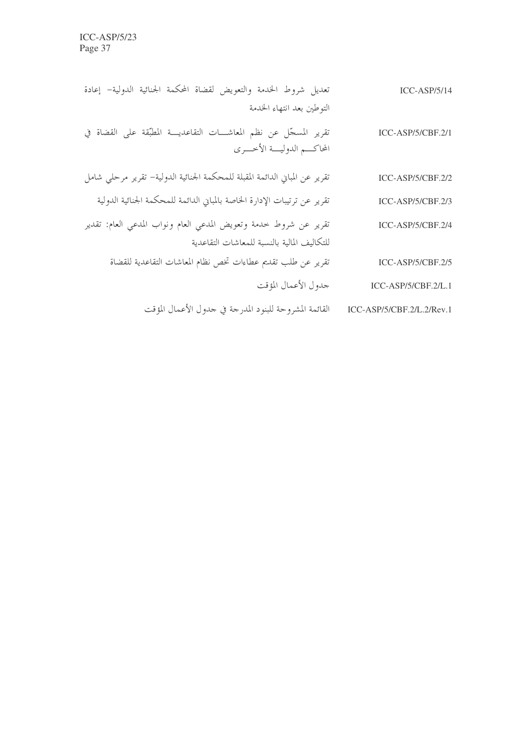| $ICC-ASP/5/14$            | تعديل شروط الخدمة والتعويض لقضاة المحكمة الجنائية الدولية– إعادة                                  |
|---------------------------|---------------------------------------------------------------------------------------------------|
|                           | التوطين بعد انتهاء الخدمة                                                                         |
| ICC-ASP/5/CBF.2/1         | تقرير المسجّل عن نظم المعاشـــات التقاعديـــة المطبّقة على القضاة في<br>المحاكسم الدوليسة الأخسري |
| ICC-ASP/5/CBF.2/2         | تقرير عن المباني الدائمة المقبلة للمحكمة الجنائية الدولية– تقرير مرحلي شامل                       |
| ICC-ASP/5/CBF.2/3         | تقرير عن ترتيبات الإدارة الخاصة بالمباني الدائمة للمحكمة الجنائية الدولية                         |
| ICC-ASP/5/CBF.2/4         | تقرير عن شروط حدمة وتعويض المدعي العام ونواب المدعي العام: تقدير                                  |
|                           | للتكاليف المالية بالنسبة للمعاشات التقاعدية                                                       |
| ICC-ASP/5/CBF.2/5         | تقرير عن طلب تقديم عطاءات تخص نظام المعاشات التقاعدية للقضاة                                      |
| ICC-ASP/5/CBF.2/L.1       | جدول الأعمال المؤقت                                                                               |
| ICC-ASP/5/CBF.2/L.2/Rev.1 | القائمة المشروحة للبنود المدرجة في جدول الأعمال المؤقت                                            |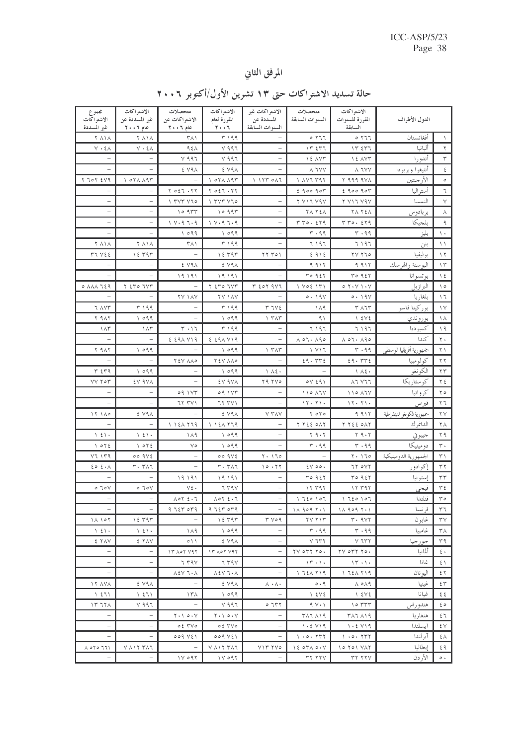## المرفق الثاني

| مجموع                                                  | الاشتراكات                                                    | متحصلات                                                                                                                                                                                                                                                                                                             | الاشتراكات                                                                                                                                                                                                                                                                                                          | الاشته اكات غير                                             | متحصلات                                                       | الاشتراكات                                                        |                             |                     |
|--------------------------------------------------------|---------------------------------------------------------------|---------------------------------------------------------------------------------------------------------------------------------------------------------------------------------------------------------------------------------------------------------------------------------------------------------------------|---------------------------------------------------------------------------------------------------------------------------------------------------------------------------------------------------------------------------------------------------------------------------------------------------------------------|-------------------------------------------------------------|---------------------------------------------------------------|-------------------------------------------------------------------|-----------------------------|---------------------|
| الاشتر اكات<br>غير المسددة                             | غير المسددة عن<br>عام ٦٠٠٦                                    | الاشتراكات عن<br>عام ۲۰۰٦                                                                                                                                                                                                                                                                                           | المقررة لعام<br>$7 + 17$                                                                                                                                                                                                                                                                                            | المسددة عن<br>السنوات السآبقة                               | السنوات السابقة                                               | المقررة للسنوات<br>السابقة                                        | الدول الأطراف               |                     |
| <b>Y AIA</b>                                           | <b>Y A \ A</b>                                                | ۳۸۱                                                                                                                                                                                                                                                                                                                 | T199                                                                                                                                                                                                                                                                                                                |                                                             | 0.777                                                         | 0.777                                                             | أفغانستان                   | ١                   |
| $V \cdot \xi \wedge$                                   | $V \cdot \xi \wedge$                                          | $95\lambda$                                                                                                                                                                                                                                                                                                         | $Y$ 997                                                                                                                                                                                                                                                                                                             |                                                             | 117.517                                                       | 17557                                                             | أليانيا                     | $\mathbf{r}$        |
|                                                        |                                                               | $Y$ 997                                                                                                                                                                                                                                                                                                             | $Y$ 997                                                                                                                                                                                                                                                                                                             |                                                             | IE AVT                                                        | IE AVT                                                            | أندورا                      | ٣                   |
|                                                        |                                                               | E V9A                                                                                                                                                                                                                                                                                                               | E V91                                                                                                                                                                                                                                                                                                               |                                                             | Y X X                                                         | Y X Y                                                             | أنتيغوا وبربودا             | ٤                   |
| $Y$ $70Y$ $5Y9$                                        | $\lambda$ or $\lambda$ $\lambda$ 9 $\tau$                     |                                                                                                                                                                                                                                                                                                                     | $\lambda$ or $\lambda$ $\lambda$ 9 $\tau$                                                                                                                                                                                                                                                                           | 1157011                                                     | $\lambda$ $\lambda$ $\lambda$ $\tau$ $\tau$ $\gamma$ $\tau$   | Y 999 9VA                                                         | الأرجنتين                   | $\circ$             |
|                                                        |                                                               | Y O 27.77                                                                                                                                                                                                                                                                                                           | $\Upsilon \circ \xi \Upsilon \cdot \Upsilon \Upsilon$                                                                                                                                                                                                                                                               |                                                             | 290090                                                        | 290090                                                            | أستر اليا                   | ٦                   |
|                                                        |                                                               | $\frac{1}{2}$ $\frac{1}{2}$ $\frac{1}{2}$ $\frac{1}{2}$ $\frac{1}{2}$ $\frac{1}{2}$ $\frac{1}{2}$ $\frac{1}{2}$ $\frac{1}{2}$ $\frac{1}{2}$ $\frac{1}{2}$ $\frac{1}{2}$ $\frac{1}{2}$ $\frac{1}{2}$ $\frac{1}{2}$ $\frac{1}{2}$ $\frac{1}{2}$ $\frac{1}{2}$ $\frac{1}{2}$ $\frac{1}{2}$ $\frac{1}{2}$ $\frac{1}{2}$ | $\frac{1}{2}$ $\frac{1}{2}$ $\frac{1}{2}$ $\frac{1}{2}$ $\frac{1}{2}$ $\frac{1}{2}$ $\frac{1}{2}$ $\frac{1}{2}$ $\frac{1}{2}$ $\frac{1}{2}$ $\frac{1}{2}$ $\frac{1}{2}$ $\frac{1}{2}$ $\frac{1}{2}$ $\frac{1}{2}$ $\frac{1}{2}$ $\frac{1}{2}$ $\frac{1}{2}$ $\frac{1}{2}$ $\frac{1}{2}$ $\frac{1}{2}$ $\frac{1}{2}$ |                                                             | Y VII VAV                                                     | Y YIT YAV                                                         | النمسا                      | $\vee$              |
|                                                        |                                                               | 10977                                                                                                                                                                                                                                                                                                               | 10997                                                                                                                                                                                                                                                                                                               |                                                             | <b>TA TEA</b>                                                 | <b>TA TEA</b>                                                     | بر بادو س                   | $\wedge$            |
|                                                        |                                                               | $1 \vee q \vee q$                                                                                                                                                                                                                                                                                                   | $1$ $V \cdot 9$ $7 \cdot 9$                                                                                                                                                                                                                                                                                         |                                                             | T T 0.519                                                     | T T 0.579                                                         | بلجيكا                      | ٩                   |
|                                                        |                                                               | 1099                                                                                                                                                                                                                                                                                                                | 1099                                                                                                                                                                                                                                                                                                                |                                                             | $r \cdot qq$                                                  | $r \cdot q q$                                                     | بليز                        | $\Delta$ +          |
| <b>Y AIA</b>                                           | <b>Y A \ A</b>                                                | ۳۸۱                                                                                                                                                                                                                                                                                                                 | T199                                                                                                                                                                                                                                                                                                                |                                                             | 7197                                                          | ۶ ۱ ۹ ۶                                                           | بنن                         | $\setminus$         |
| FT VSE                                                 | 12797                                                         |                                                                                                                                                                                                                                                                                                                     | 15797                                                                                                                                                                                                                                                                                                               | $\gamma\gamma\gamma o_1$                                    | 2912                                                          | YYY70                                                             | به لىفىا                    | $\wedge$ $\vee$     |
|                                                        |                                                               | E V9A                                                                                                                                                                                                                                                                                                               | E V91                                                                                                                                                                                                                                                                                                               |                                                             | 9.917                                                         | 9.917                                                             | البو سنة والهر سك           | $\gamma$            |
|                                                        |                                                               | $\begin{array}{c} \backslash \ \lhd \ \ \backslash \ \lhd \ \ \backslash \end{array}$                                                                                                                                                                                                                               | 19191                                                                                                                                                                                                                                                                                                               |                                                             | TO957                                                         | ro957                                                             | بو تسو انا                  | $\setminus$ 2       |
| $0$ $\land$ $\land$ $\land$ $\land$ $\land$            | $Y$ $570$ $757$                                               |                                                                                                                                                                                                                                                                                                                     | T ETO TVT                                                                                                                                                                                                                                                                                                           | $T$ $207$ $957$                                             | $1 \text{ Vol}$                                               | 0.7.4                                                             | البرازيل                    | $\setminus$ 0       |
|                                                        |                                                               | <b>YV IAV</b>                                                                                                                                                                                                                                                                                                       | <b>TV 1AV</b>                                                                                                                                                                                                                                                                                                       |                                                             | 0.19V                                                         | 0.19V                                                             | بلغاريا                     | $\Delta$            |
| J AVT                                                  | ۳۱۹۹                                                          |                                                                                                                                                                                                                                                                                                                     | T199                                                                                                                                                                                                                                                                                                                | $T V \xi$                                                   | ۱۸۹                                                           | $T \wedge T$                                                      | بوركينا فاسو                | $\wedge$            |
| <b>Y</b> 917                                           | 1099                                                          |                                                                                                                                                                                                                                                                                                                     | 1099                                                                                                                                                                                                                                                                                                                | $\gamma$ $\tau \wedge \tau$                                 | 9)                                                            | 15V5                                                              | بو رو ندي                   | ヽ                   |
| $\Lambda$ ۳                                            | $\Lambda$ ۳                                                   | $\mathsf{r} \cdot \mathsf{17}$                                                                                                                                                                                                                                                                                      | T199                                                                                                                                                                                                                                                                                                                | L.                                                          | 7197                                                          | ۶۹۶ تا                                                            | كمبو ديا                    | $\setminus$ ٩       |
|                                                        | $\equiv$                                                      | $229A$ $Y19$                                                                                                                                                                                                                                                                                                        | 229XY9                                                                                                                                                                                                                                                                                                              | $\overline{\phantom{0}}$                                    | $\wedge$ $\circ$ $\overline{\wedge}$ $\wedge$ $\circ$ $\circ$ | $\wedge$ 07. $\wedge$ 90                                          | كندا                        | $\mathbf{r}$ .      |
| <b>Y</b> 917                                           | 1099<br>$\equiv$                                              |                                                                                                                                                                                                                                                                                                                     | 1099                                                                                                                                                                                                                                                                                                                | $\gamma$ $\tau$ $\wedge$ $\tau$<br>$\overline{\phantom{0}}$ | 1 Y17                                                         | $r \cdot q q$                                                     | جمهورية أفريقيا الوسطى      | $\uparrow \uparrow$ |
|                                                        |                                                               | YEV AAO                                                                                                                                                                                                                                                                                                             | TEV AAO                                                                                                                                                                                                                                                                                                             |                                                             | 29.772<br>$\equiv$                                            | 29.575                                                            | كولومبيا<br>الكونغو         | $\Upsilon$          |
| $T$ $2T9$<br><b>VV TOT</b>                             | 1099                                                          |                                                                                                                                                                                                                                                                                                                     | 1099                                                                                                                                                                                                                                                                                                                | 1 12.                                                       | $oY \le 91$                                                   | $\Lambda$ $\Lambda$ $\epsilon$                                    | كوستاريكا <sup>_</sup>      | $\tau$              |
|                                                        | EV 9VA                                                        | 09.1Yr                                                                                                                                                                                                                                                                                                              | EV 9VA<br>09.1YT                                                                                                                                                                                                                                                                                                    | Y9 YV0                                                      | $110$ $\lambda$ $7$                                           | $\lambda$ ٦ $\lambda$ 7 7<br>$110$ $\lambda$ $7$ $\vee$           | كرواتيا                     | ۲٤<br>50            |
|                                                        | $\equiv$                                                      | 77791                                                                                                                                                                                                                                                                                                               | 77791                                                                                                                                                                                                                                                                                                               |                                                             | 17.71.                                                        | 11.71.                                                            | قبرص                        | 77                  |
| 11120                                                  | E V91                                                         |                                                                                                                                                                                                                                                                                                                     | E V91                                                                                                                                                                                                                                                                                                               | <b>Y TAY</b>                                                | $Y \circ Y \circ$                                             | 9.917                                                             | جمهورية الكونغو الديمقراطية | $\mathbf{Y}$        |
|                                                        | $\equiv$                                                      | 112177                                                                                                                                                                                                                                                                                                              | 112177                                                                                                                                                                                                                                                                                                              |                                                             | $Y Y \xi \xi$ $\phi \Lambda Y$                                | T TEE OAT                                                         | الدانمر ك                   | $\mathbf{Y} \wedge$ |
| $\left  \right $ { $\left  \right $ .                  | $\left  \right $ { $\left  \right $ .                         | $\Lambda$ ۹                                                                                                                                                                                                                                                                                                         | 1099                                                                                                                                                                                                                                                                                                                |                                                             | $Y$ ٩٠٢                                                       | 59.5                                                              | جيبوتي                      | ۲۹                  |
| 1072                                                   | 1072                                                          | $\vee$                                                                                                                                                                                                                                                                                                              | 1099                                                                                                                                                                                                                                                                                                                |                                                             | $r \cdot qq$                                                  | $r \cdot q q$                                                     | دو مینیکا                   | $\mathsf{r}$ .      |
| Y7 Y79                                                 | 009Vt                                                         |                                                                                                                                                                                                                                                                                                                     | 009Vt                                                                                                                                                                                                                                                                                                               | 7.170                                                       | $\overline{a}$                                                | $Y - 170$                                                         | الجمهورية الدومينيكية       | $\uparrow$          |
| 202.1                                                  | $r \cdot r \wedge r$                                          |                                                                                                                                                                                                                                                                                                                     | $T \cdot T \wedge T$                                                                                                                                                                                                                                                                                                | 10.77                                                       | $2V$ 00.                                                      | 77 OVY                                                            | إكوادور                     | $\tau \tau$         |
|                                                        | $\equiv$                                                      | 19191                                                                                                                                                                                                                                                                                                               | $\begin{array}{c} \uparrow \, 9 \, \rhd \, 1 \, 9 \, \rhd \end{array}$                                                                                                                                                                                                                                              |                                                             | $T^{\circ}$ 927                                               | TO957                                                             | إستو نيا                    | $\tau\tau$          |
| 0.70V                                                  | 0.70V                                                         | $v \xi$ .                                                                                                                                                                                                                                                                                                           | 7 T9V                                                                                                                                                                                                                                                                                                               |                                                             | 17797                                                         | 17797                                                             | فيجي                        | $\tau$ {            |
| $\equiv$                                               | $\equiv$                                                      | $\Lambda$ or $\epsilon$ . $\tau$                                                                                                                                                                                                                                                                                    | $A \circ Y \leq \cdot T$                                                                                                                                                                                                                                                                                            | $\overline{\phantom{m}}$                                    | 1720107                                                       | 1720107                                                           | فنلندا                      | $r \circ$           |
|                                                        |                                                               | 9757079                                                                                                                                                                                                                                                                                                             | 9757079                                                                                                                                                                                                                                                                                                             |                                                             | $11.909$ $7.1$                                                | $11.909$ $7.1$                                                    | فر نسا                      | ٣٦                  |
| 14.107                                                 | ۱٤ ۳۹۳                                                        |                                                                                                                                                                                                                                                                                                                     | 12.797                                                                                                                                                                                                                                                                                                              | 4009                                                        | YV Y                                                          | r.9V                                                              | غابون                       | ٣V                  |
| $\left\{ \begin{array}{c} 2 \\ 1 \end{array} \right\}$ | $\left\{ \begin{array}{c} 2 \\ 1 \end{array} \right\}$        | ۱۸۹                                                                                                                                                                                                                                                                                                                 | 1099                                                                                                                                                                                                                                                                                                                |                                                             | $r \cdot qq$                                                  | $r \cdot q q$                                                     | غامسا                       | ۳۸                  |
| E TAY                                                  | 2 YAV                                                         | $\circ$ \ \                                                                                                                                                                                                                                                                                                         | E V9A                                                                                                                                                                                                                                                                                                               |                                                             | $V$ ٦٣٢                                                       | $V$ ٦٣٢                                                           | جور جيا                     | ۳۹                  |
|                                                        |                                                               | 17007191                                                                                                                                                                                                                                                                                                            | 17 A07 Y97                                                                                                                                                                                                                                                                                                          |                                                             | $\gamma$ or $\gamma$ $\gamma$                                 | $\gamma \gamma$ or $\gamma$ $\gamma \gamma$                       | ألمانيا                     | $\epsilon$ .        |
|                                                        |                                                               | 7 T9V                                                                                                                                                                                                                                                                                                               | 779V                                                                                                                                                                                                                                                                                                                |                                                             | 15.1.                                                         | 15.1.                                                             | غانا                        | ٤١                  |
|                                                        | $\overline{\phantom{a}}$                                      | $\lambda$ ٤٧ ٦٠٨                                                                                                                                                                                                                                                                                                    | $\lambda$ ٤٧ ٦٠٨                                                                                                                                                                                                                                                                                                    | $\qquad \qquad -$                                           | 1.721719                                                      | 1721719                                                           | اليو نان                    | ٤٢                  |
| 17 YAY                                                 | E V9A                                                         |                                                                                                                                                                                                                                                                                                                     | E V9 A                                                                                                                                                                                                                                                                                                              | $\wedge \cdot \wedge \cdot$                                 | 0.9                                                           | $\Lambda$ o $\Lambda$ 9                                           | غىنىا                       | ٤٣                  |
| 1571                                                   | 151                                                           | ۱۳۸                                                                                                                                                                                                                                                                                                                 | 1099                                                                                                                                                                                                                                                                                                                |                                                             | $\sqrt{2}$                                                    | $\sqrt{2}$                                                        | غىانا                       | ٤٤                  |
| 1777                                                   | $V$ ٩٩٦                                                       |                                                                                                                                                                                                                                                                                                                     | $V$ ٩٩٦                                                                                                                                                                                                                                                                                                             | ۲۳۲ ه                                                       | $9 \vee \cdot \wedge$                                         | 10777                                                             | هندو ر اس                   | ξo                  |
|                                                        |                                                               | $Y \cdot Y$ $\circ \cdot Y$                                                                                                                                                                                                                                                                                         | $Y \cdot Y \circ Y$                                                                                                                                                                                                                                                                                                 |                                                             | ۳۸۶ ۸۱۹                                                       | $\uparrow$ $\uparrow$ $\uparrow$ $\uparrow$ $\uparrow$ $\uparrow$ | هنغار يا                    | ٤٦                  |
|                                                        |                                                               | $025$ TVO                                                                                                                                                                                                                                                                                                           | $05$ TVO                                                                                                                                                                                                                                                                                                            |                                                             | 1.2 V19                                                       | 1.2 V19                                                           | آبسلندا                     | ٤V                  |
|                                                        |                                                               | 009 V E                                                                                                                                                                                                                                                                                                             | 009 V E                                                                                                                                                                                                                                                                                                             |                                                             | $\sqrt{0.25}$                                                 | $\big\backslash$ . $\circ$ . $\uparrow \uparrow \uparrow$         | آير لندا                    | ٤٨                  |
| $\Lambda$ oro $771$                                    | $V$ $\wedge$ $\wedge$ $\Upsilon$ $\Upsilon$ $\wedge$ $\wedge$ |                                                                                                                                                                                                                                                                                                                     | $V$ $\wedge$ $\wedge$ $\Upsilon$ $\Upsilon$ $\wedge$ $\wedge$                                                                                                                                                                                                                                                       | $V \setminus V$ $V \setminus V$                             | 1207A0. V                                                     | ۱ <i>۵ ۲ ۵ ۱ ۷</i> ۸ ۲                                            | إبطاليا                     | ६ १                 |
|                                                        |                                                               | 110097                                                                                                                                                                                                                                                                                                              | $1Y$ 097                                                                                                                                                                                                                                                                                                            |                                                             | ۳۲ ۲۲۷                                                        | ۳۲ ۲۲۷                                                            | الأر دن                     | $\circ\cdot$        |

## حالة تسديد الاشتراكات حتى ١٣ تشرين الأول/أكتوبر ٢٠٠٦